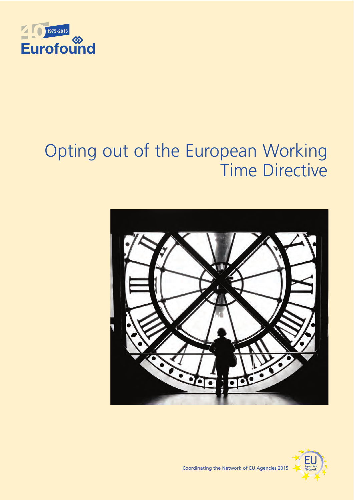

# Opting out of the European Working Time Directive





Coordinating the Network of EU Agencies 2015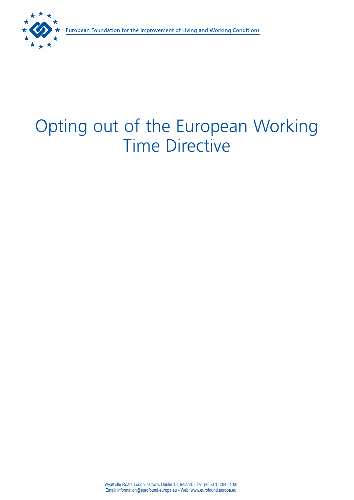# Opting out of the European Working Time Directive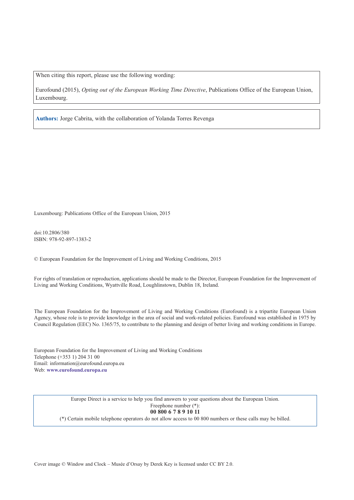When citing this report, please use the following wording:

Eurofound (2015), *Opting out of the European Working Time Directive*, Publications Office of the European Union, Luxembourg.

**Authors:** Jorge Cabrita, with the collaboration of Yolanda Torres Revenga

Luxembourg: Publications Office of the European Union, 2015

doi:10.2806/380 ISBN: 978-92-897-1383-2

© European Foundation for the Improvement of Living and Working Conditions, 2015

For rights of translation or reproduction, applications should be made to the Director, European Foundation for the Improvement of Living and Working Conditions, Wyattville Road, Loughlinstown, Dublin 18, Ireland.

The European Foundation for the Improvement of Living and Working Conditions (Eurofound) is a tripartite European Union Agency, whose role is to provide knowledge in the area of social and work-related policies. Eurofound was established in 1975 by Council Regulation (EEC) No. 1365/75, to contribute to the planning and design of better living and working conditions in Europe.

European Foundation for the Improvement of Living and Working Conditions Telephone (+353 1) 204 31 00 Email: [information@eurofound.europa.eu](mailto:information@eurofound.europa.eu) Web: **[www.eurofound.europa.eu](http://www.eurofound.europa.eu)**

> Europe Direct is a service to help you find answers to your questions about the European Union. Freephone number (\*): **00 800 6 7 8 9 10 11**

(\*) Certain mobile telephone operators do not allow access to 00 800 numbers or these calls may be billed.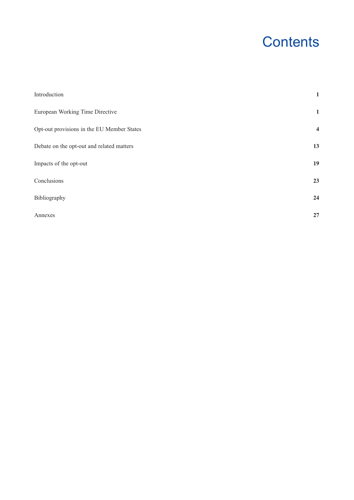# **Contents**

| Introduction                               | $\mathbf{1}$            |
|--------------------------------------------|-------------------------|
| European Working Time Directive            | $\mathbf{1}$            |
| Opt-out provisions in the EU Member States | $\overline{\mathbf{4}}$ |
| Debate on the opt-out and related matters  | 13                      |
| Impacts of the opt-out                     | 19                      |
| Conclusions                                | 23                      |
| Bibliography                               | 24                      |
| Annexes                                    | 27                      |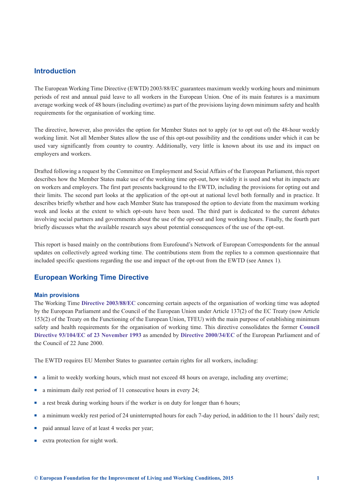# <span id="page-6-0"></span>**Introduction**

The European Working Time Directive (EWTD) 2003/88/EC guarantees maximum weekly working hours and minimum periods of rest and annual paid leave to all workers in the European Union. One of its main features is a maximum average working week of 48 hours (including overtime) as part of the provisions laying down minimum safety and health requirements for the organisation of working time.

The directive, however, also provides the option for Member States not to apply (or to opt out of) the 48-hour weekly working limit. Not all Member States allow the use of this opt-out possibility and the conditions under which it can be used vary significantly from country to country. Additionally, very little is known about its use and its impact on employers and workers.

Drafted following a request by the Committee on Employment and Social Affairs of the European Parliament, this report describes how the Member States make use of the working time opt-out, how widely it is used and what its impacts are on workers and employers. The first part presents background to the EWTD, including the provisions for opting out and their limits. The second part looks at the application of the opt-out at national level both formally and in practice. It describes briefly whether and how each Member State has transposed the option to deviate from the maximum working week and looks at the extent to which opt-outs have been used. The third part is dedicated to the current debates involving social partners and governments about the use of the opt-out and long working hours. Finally, the fourth part briefly discusses what the available research says about potential consequences of the use of the opt-out.

This report is based mainly on the contributions from Eurofound's Network of European Correspondents for the annual updates on collectively agreed working time. The contributions stem from the replies to a common questionnaire that included specific questions regarding the use and impact of the opt-out from the EWTD (see Annex 1).

# **European Working Time Directive**

#### **Main provisions**

The Working Time **[Directive 2003/88/EC](http://eur-lex.europa.eu/LexUriServ/LexUriServ.do?uri=CELEX:32003L0088:EN:HTML)** concerning certain aspects of the organisation of working time was adopted by the European Parliament and the Council of the European Union under Article 137(2) of the EC Treaty (now Article 153(2) of the Treaty on the Functioning of the European Union, TFEU) with the main purpose of establishing minimum safety and health requirements for the organisation of working time. This directive consolidates th[e former](http://eur-lex.europa.eu/legal-content/EN/TXT/PDF/?uri=CELEX:31993L0104&from=EN) **Council [Directive 93/104/EC of 23 November 1993](http://eur-lex.europa.eu/legal-content/EN/TXT/PDF/?uri=CELEX:31993L0104&from=EN)** as amended by **[Directive 2000/34/EC](http://eur-lex.europa.eu/legal-content/EN/TXT/HTML/?uri=CELEX:32000L0034&from=EN)** of the European Parliament and of the Council of 22 June 2000.

The EWTD requires EU Member States to guarantee certain rights for all workers, including:

- n a limit to weekly working hours, which must not exceed 48 hours on average, including any overtime;
- <sup>n</sup> a minimum daily rest period of 11 consecutive hours in every 24;
- n a rest break during working hours if the worker is on duty for longer than 6 hours;
- n a minimum weekly rest period of 24 uninterrupted hours for each 7-day period, in addition to the 11 hours' daily rest;
- paid annual leave of at least 4 weeks per year;
- extra protection for night work.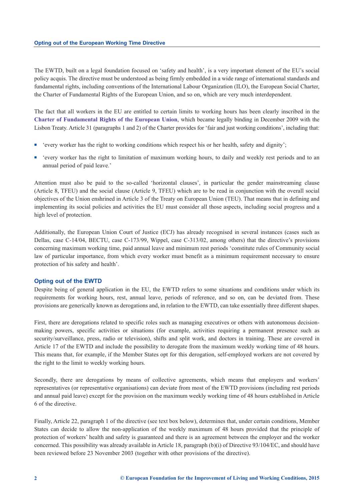The EWTD, built on a legal foundation focused on 'safety and health', is a very important element of the EU's social policy acquis. The directive must be understood as being firmly embedded in a wide range of international standards and fundamental rights, including conventions of the International Labour Organization (ILO), the European Social Charter, the Charter of Fundamental Rights of the European Union, and so on, which are very much interdependent.

The fact that all workers in the EU are entitled to certain limits to working hours has been clearly inscribed in the **[Charter of Fundamental Rights of the European Union](http://eur-lex.europa.eu/legal-content/EN/TXT/?uri=uriserv:OJ.C_.2012.326.01.0391.01.ENG)**, which became legally binding in December 2009 with the Lisbon Treaty. Article 31 (paragraphs 1 and 2) of the Charter provides for 'fair and just working conditions', including that:

- <sup>n</sup> 'every worker has the right to working conditions which respect his or her health, safety and dignity';
- <sup>n</sup> 'every worker has the right to limitation of maximum working hours, to daily and weekly rest periods and to an annual period of paid leave.'

Attention must also be paid to the so-called 'horizontal clauses', in particular the gender mainstreaming clause (Article 8, TFEU) and the social clause (Article 9, TFEU) which are to be read in conjunction with the overall social objectives of the Union enshrined in Article 3 of the Treaty on European Union (TEU). That means that in defining and implementing its social policies and activities the EU must consider all those aspects, including social progress and a high level of protection.

Additionally, the European Union Court of Justice (ECJ) has already recognised in several instances (cases such as Dellas, case C-14/04, BECTU, case C-173/99, Wippel, case C-313/02, among others) that the directive's provisions concerning maximum working time, paid annual leave and minimum rest periods 'constitute rules of Community social law of particular importance, from which every worker must benefit as a minimum requirement necessary to ensure protection of his safety and health'.

#### **Opting out of the EWTD**

Despite being of general application in the EU, the EWTD refers to some situations and conditions under which its requirements for working hours, rest, annual leave, periods of reference, and so on, can be deviated from. These provisions are generically known as derogations and, in relation to the EWTD, can take essentially three different shapes.

First, there are derogations related to specific roles such as managing executives or others with autonomous decisionmaking powers, specific activities or situations (for example, activities requiring a permanent presence such as security/surveillance, press, radio or television), shifts and split work, and doctors in training. These are covered in Article 17 of the EWTD and include the possibility to derogate from the maximum weekly working time of 48 hours. This means that, for example, if the Member States opt for this derogation, self-employed workers are not covered by the right to the limit to weekly working hours.

Secondly, there are derogations by means of collective agreements, which means that employers and workers' representatives (or representative organisations) can deviate from most of the EWTD provisions (including rest periods and annual paid leave) except for the provision on the maximum weekly working time of 48 hours established in Article 6 of the directive.

Finally, Article 22, paragraph 1 of the directive (see text box below), determines that, under certain conditions, Member States can decide to allow the non-application of the weekly maximum of 48 hours provided that the principle of protection of workers' health and safety is guaranteed and there is an agreement between the employer and the worker concerned. This possibility was already available in Article 18, paragraph (b)(i) of Directive 93/104/EC, and should have been reviewed before 23 November 2003 (together with other provisions of the directive).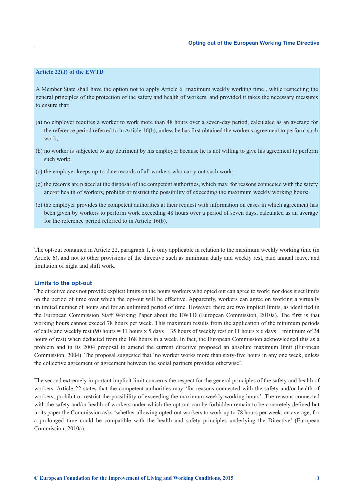## **Article 22(1) of the EWTD**

A Member State shall have the option not to apply Article 6 [maximum weekly working time], while respecting the general principles of the protection of the safety and health of workers, and provided it takes the necessary measures to ensure that:

- (a) no employer requires a worker to work more than 48 hours over a seven-day period, calculated as an average for the reference period referred to in Article 16(b), unless he has first obtained the worker's agreement to perform such work;
- (b) no worker is subjected to any detriment by his employer because he is not willing to give his agreement to perform such work;
- (c) the employer keeps up-to-date records of all workers who carry out such work;
- (d) the records are placed at the disposal of the competent authorities, which may, for reasons connected with the safety and/or health of workers, prohibit or restrict the possibility of exceeding the maximum weekly working hours;
- (e) the employer provides the competent authorities at their request with information on cases in which agreement has been given by workers to perform work exceeding 48 hours over a period of seven days, calculated as an average for the reference period referred to in Article 16(b).

The opt-out contained in Article 22, paragraph 1, is only applicable in relation to the maximum weekly working time (in Article 6), and not to other provisions of the directive such as minimum daily and weekly rest, paid annual leave, and limitation of night and shift work.

#### **Limits to the opt-out**

The directive does not provide explicit limits on the hours workers who opted out can agree to work; nor does it set limits on the period of time over which the opt-out will be effective. Apparently, workers can agree on working a virtually unlimited number of hours and for an unlimited period of time. However, there are two implicit limits, as identified in the European Commission Staff Working Paper about the EWTD (European Commission, 2010a). The first is that working hours cannot exceed 78 hours per week. This maximum results from the application of the minimum periods of daily and weekly rest (90 hours = 11 hours x 5 days + 35 hours of weekly rest or 11 hours x 6 days + minimum of 24 hours of rest) when deducted from the 168 hours in a week. In fact, the European Commission acknowledged this as a problem and in its 2004 proposal to amend the current directive proposed an absolute maximum limit (European Commission, 2004). The proposal suggested that 'no worker works more than sixty-five hours in any one week, unless the collective agreement or agreement between the social partners provides otherwise'.

The second extremely important implicit limit concerns the respect for the general principles of the safety and health of workers. Article 22 states that the competent authorities may 'for reasons connected with the safety and/or health of workers, prohibit or restrict the possibility of exceeding the maximum weekly working hours'. The reasons connected with the safety and/or health of workers under which the opt-out can be forbidden remain to be concretely defined but in its paper the Commission asks 'whether allowing opted-out workers to work up to 78 hours per week, on average, for a prolonged time could be compatible with the health and safety principles underlying the Directive' (European Commission, 2010a).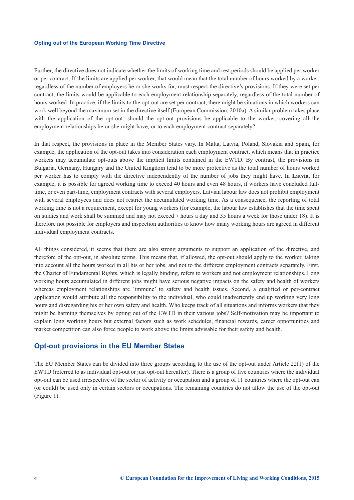Further, the directive does not indicate whether the limits of working time and rest periods should be applied per worker or per contract. If the limits are applied per worker, that would mean that the total number of hours worked by a worker, regardless of the number of employers he or she works for, must respect the directive's provisions. If they were set per contract, the limits would be applicable to each employment relationship separately, regardless of the total number of hours worked. In practice, if the limits to the opt-out are set per contract, there might be situations in which workers can work well beyond the maximum set in the directive itself (European Commission, 2010a). A similar problem takes place with the application of the opt-out: should the opt-out provisions be applicable to the worker, covering all the employment relationships he or she might have, or to each employment contract separately?

In that respect, the provisions in place in the Member States vary. In Malta, Latvia, Poland, Slovakia and Spain, for example, the application of the opt-out takes into consideration each employment contract, which means that in practice workers may accumulate opt-outs above the implicit limits contained in the EWTD. By contrast, the provisions in Bulgaria, Germany, Hungary and the United Kingdom tend to be more protective as the total number of hours worked per worker has to comply with the directive independently of the number of jobs they might have. In **Latvia**, for example, it is possible for agreed working time to exceed 40 hours and even 48 hours, if workers have concluded fulltime, or even part-time, employment contracts with several employers. Latvian labour law does not prohibit employment with several employees and does not restrict the accumulated working time. As a consequence, the reporting of total working time is not a requirement, except for young workers (for example, the labour law establishes that the time spent on studies and work shall be summed and may not exceed 7 hours a day and 35 hours a week for those under 18). It is therefore not possible for employers and inspection authorities to know how many working hours are agreed in different individual employment contracts.

All things considered, it seems that there are also strong arguments to support an application of the directive, and therefore of the opt-out, in absolute terms. This means that, if allowed, the opt-out should apply to the worker, taking into account all the hours worked in all his or her jobs, and not to the different employment contracts separately. First, the Charter of Fundamental Rights, which is legally binding, refers to workers and not employment relationships. Long working hours accumulated in different jobs might have serious negative impacts on the safety and health of workers whereas employment relationships are 'immune' to safety and health issues. Second, a qualified or per-contract application would attribute all the responsibility to the individual, who could inadvertently end up working very long hours and disregarding his or her own safety and health. Who keeps track of all situations and informs workers that they might be harming themselves by opting out of the EWTD in their various jobs? Self-motivation may be important to explain long working hours but external factors such as work schedules, financial rewards, career opportunities and market competition can also force people to work above the limits advisable for their safety and health.

#### **Opt-out provisions in the EU Member States**

The EU Member States can be divided into three groups according to the use of the opt-out under Article 22(1) of the EWTD (referred to as individual opt-out or just opt-out hereafter). There is a group of five countries where the individual opt-out can be used irrespective of the sector of activity or occupation and a group of 11 countries where the opt-out can (or could) be used only in certain sectors or occupations. The remaining countries do not allow the use of the opt-out (Figure 1).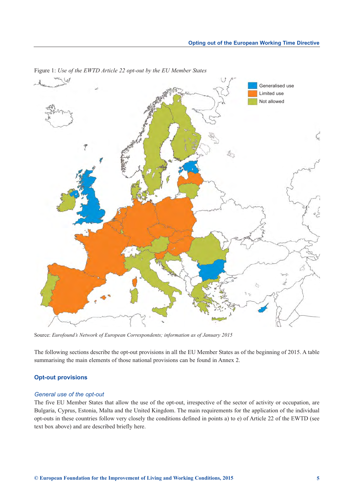

<span id="page-10-0"></span>Figure 1: *Use of the EWTD Article 22 opt-out by the EU Member States*

Source: *Eurofound's Network of European Correspondents; information as of January 2015*

The following sections describe the opt-out provisions in all the EU Member States as of the beginning of 2015. A table summarising the main elements of those national provisions can be found in Annex 2.

## **Opt-out provisions**

#### *General use of the opt-out*

The five EU Member States that allow the use of the opt-out, irrespective of the sector of activity or occupation, are Bulgaria, Cyprus, Estonia, Malta and the United Kingdom. The main requirements for the application of the individual opt-outs in these countries follow very closely the conditions defined in points a) to e) of Article 22 of the EWTD (see text box above) and are described briefly here.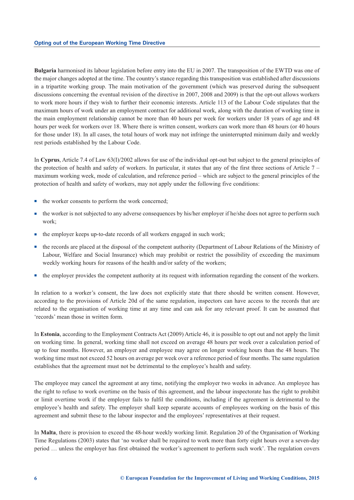**Bulgaria** harmonised its labour legislation before entry into the EU in 2007. The transposition of the EWTD was one of the major changes adopted at the time. The country's stance regarding this transposition was established after discussions in a tripartite working group. The main motivation of the government (which was preserved during the subsequent discussions concerning the eventual revision of the directive in 2007, 2008 and 2009) is that the opt-out allows workers to work more hours if they wish to further their economic interests. Article 113 of the Labour Code stipulates that the maximum hours of work under an employment contract for additional work, along with the duration of working time in the main employment relationship cannot be more than 40 hours per week for workers under 18 years of age and 48 hours per week for workers over 18. Where there is written consent, workers can work more than 48 hours (or 40 hours for those under 18). In all cases, the total hours of work may not infringe the uninterrupted minimum daily and weekly rest periods established by the Labour Code.

In **Cyprus**, Article 7.4 of Law 63(I)/2002 allows for use of the individual opt-out but subject to the general principles of the protection of health and safety of workers. In particular, it states that any of the first three sections of Article  $7$ maximum working week, mode of calculation, and reference period – which are subject to the general principles of the protection of health and safety of workers, may not apply under the following five conditions:

- $\blacksquare$  the worker consents to perform the work concerned;
- $\blacksquare$  the worker is not subjected to any adverse consequences by his/her employer if he/she does not agree to perform such work;
- n the employer keeps up-to-date records of all workers engaged in such work;
- <sup>n</sup> the records are placed at the disposal of the competent authority (Department of Labour Relations of the Ministry of Labour, Welfare and Social Insurance) which may prohibit or restrict the possibility of exceeding the maximum weekly working hours for reasons of the health and/or safety of the workers;
- <sup>n</sup> the employer provides the competent authority at its request with information regarding the consent of the workers.

In relation to a worker's consent, the law does not explicitly state that there should be written consent. However, according to the provisions of Article 20d of the same regulation, inspectors can have access to the records that are related to the organisation of working time at any time and can ask for any relevant proof. It can be assumed that 'records' mean those in written form.

In **Estonia**, according to the Employment Contracts Act (2009) Article 46, it is possible to opt out and not apply the limit on working time. In general, working time shall not exceed on average 48 hours per week over a calculation period of up to four months. However, an employer and employee may agree on longer working hours than the 48 hours. The working time must not exceed 52 hours on average per week over a reference period of four months. The same regulation establishes that the agreement must not be detrimental to the employee's health and safety.

The employee may cancel the agreement at any time, notifying the employer two weeks in advance. An employee has the right to refuse to work overtime on the basis of this agreement, and the labour inspectorate has the right to prohibit or limit overtime work if the employer fails to fulfil the conditions, including if the agreement is detrimental to the employee's health and safety. The employer shall keep separate accounts of employees working on the basis of this agreement and submit these to the labour inspector and the employees' representatives at their request.

In **Malta**, there is provision to exceed the 48-hour weekly working limit. Regulation 20 of the Organisation of Working Time Regulations (2003) states that 'no worker shall be required to work more than forty eight hours over a seven-day period … unless the employer has first obtained the worker's agreement to perform such work'. The regulation covers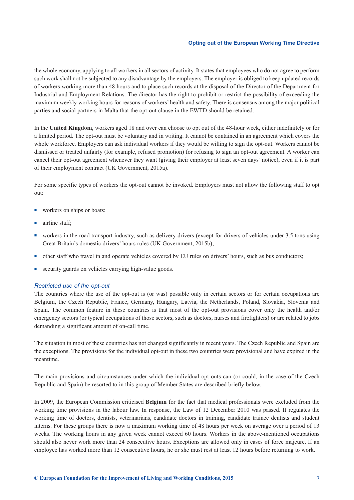the whole economy, applying to all workers in all sectors of activity. It states that employees who do not agree to perform such work shall not be subjected to any disadvantage by the employers. The employer is obliged to keep updated records of workers working more than 48 hours and to place such records at the disposal of the Director of the Department for Industrial and Employment Relations. The director has the right to prohibit or restrict the possibility of exceeding the maximum weekly working hours for reasons of workers' health and safety. There is consensus among the major political parties and social partners in Malta that the opt-out clause in the EWTD should be retained.

In the **United Kingdom**, workers aged 18 and over can choose to opt out of the 48-hour week, either indefinitely or for a limited period. The opt-out must be voluntary and in writing. It cannot be contained in an agreement which covers the whole workforce. Employers can ask individual workers if they would be willing to sign the opt-out. Workers cannot be dismissed or treated unfairly (for example, refused promotion) for refusing to sign an opt-out agreement. A worker can cancel their opt-out agreement whenever they want (giving their employer at least seven days' notice), even if it is part of their employment contract (UK Government, 2015a).

For some specific types of workers the opt-out cannot be invoked. Employers must not allow the following staff to opt out:

- **n** workers on ships or boats;
- airline staff;
- <sup>n</sup> workers in the road transport industry, such as delivery drivers (except for drivers of vehicles under 3.5 tons using Great Britain's domestic drivers' hours rules (UK Government, 2015b);
- n other staff who travel in and operate vehicles covered by EU rules on drivers' hours, such as bus conductors;
- security guards on vehicles carrying high-value goods.

#### *Restricted use of the opt-out*

The countries where the use of the opt-out is (or was) possible only in certain sectors or for certain occupations are Belgium, the Czech Republic, France, Germany, Hungary, Latvia, the Netherlands, Poland, Slovakia, Slovenia and Spain. The common feature in these countries is that most of the opt-out provisions cover only the health and/or emergency sectors (or typical occupations of those sectors, such as doctors, nurses and firefighters) or are related to jobs demanding a significant amount of on-call time.

The situation in most of these countries has not changed significantly in recent years. The Czech Republic and Spain are the exceptions. The provisions for the individual opt-out in these two countries were provisional and have expired in the meantime.

The main provisions and circumstances under which the individual opt-outs can (or could, in the case of the Czech Republic and Spain) be resorted to in this group of Member States are described briefly below.

In 2009, the European Commission criticised **Belgium** for the fact that medical professionals were excluded from the working time provisions in the labour law. In response, the Law of 12 December 2010 was passed. It regulates the working time of doctors, dentists, veterinarians, candidate doctors in training, candidate trainee dentists and student interns. For these groups there is now a maximum working time of 48 hours per week on average over a period of 13 weeks. The working hours in any given week cannot exceed 60 hours. Workers in the above-mentioned occupations should also never work more than 24 consecutive hours. Exceptions are allowed only in cases of force majeure. If an employee has worked more than 12 consecutive hours, he or she must rest at least 12 hours before returning to work.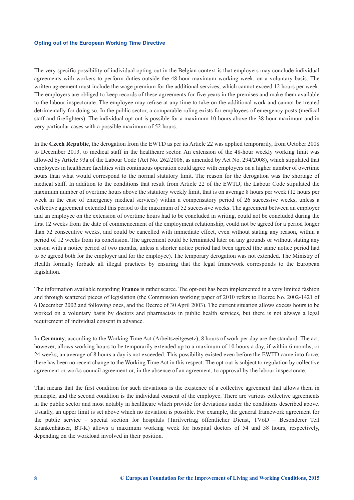The very specific possibility of individual opting-out in the Belgian context is that employers may conclude individual agreements with workers to perform duties outside the 48-hour maximum working week, on a voluntary basis. The written agreement must include the wage premium for the additional services, which cannot exceed 12 hours per week. The employers are obliged to keep records of these agreements for five years in the premises and make them available to the labour inspectorate. The employee may refuse at any time to take on the additional work and cannot be treated detrimentally for doing so. In the public sector, a comparable ruling exists for employees of emergency posts (medical staff and firefighters). The individual opt-out is possible for a maximum 10 hours above the 38-hour maximum and in very particular cases with a possible maximum of 52 hours.

In the **Czech Republic**, the derogation from the EWTD as per its Article 22 was applied temporarily, from October 2008 to December 2013, to medical staff in the healthcare sector. An extension of the 48-hour weekly working limit was allowed by Article 93a of the Labour Code (Act No. 262/2006, as amended by Act No. 294/2008), which stipulated that employees in healthcare facilities with continuous operation could agree with employers on a higher number of overtime hours than what would correspond to the normal statutory limit. The reason for the derogation was the shortage of medical staff. In addition to the conditions that result from Article 22 of the EWTD, the Labour Code stipulated the maximum number of overtime hours above the statutory weekly limit, that is on average 8 hours per week (12 hours per week in the case of emergency medical services) within a compensatory period of 26 successive weeks, unless a collective agreement extended this period to the maximum of 52 successive weeks. The agreement between an employer and an employee on the extension of overtime hours had to be concluded in writing, could not be concluded during the first 12 weeks from the date of commencement of the employment relationship, could not be agreed for a period longer than 52 consecutive weeks, and could be cancelled with immediate effect, even without stating any reason, within a period of 12 weeks from its conclusion. The agreement could be terminated later on any grounds or without stating any reason with a notice period of two months, unless a shorter notice period had been agreed (the same notice period had to be agreed both for the employer and for the employee). The temporary derogation was not extended. The Ministry of Health formally forbade all illegal practices by ensuring that the legal framework corresponds to the European legislation.

The information available regarding **France** is rather scarce. The opt-out has been implemented in a very limited fashion and through scattered pieces of legislation (the Commission working paper of 2010 refers to Decree No. 2002-1421 of 6 December 2002 and following ones, and the Decree of 30 April 2003). The current situation allows excess hours to be worked on a voluntary basis by doctors and pharmacists in public health services, but there is not always a legal requirement of individual consent in advance.

In **Germany**, according to the Working Time Act (Arbeitszeitgesetz), 8 hours of work per day are the standard. The act, however, allows working hours to be temporarily extended up to a maximum of 10 hours a day, if within 6 months, or 24 weeks, an average of 8 hours a day is not exceeded. This possibility existed even before the EWTD came into force; there has been no recent change to the Working Time Act in this respect. The opt-out is subject to regulation by collective agreement or works council agreement or, in the absence of an agreement, to approval by the labour inspectorate.

That means that the first condition for such deviations is the existence of a collective agreement that allows them in principle, and the second condition is the individual consent of the employee. There are various collective agreements in the public sector and most notably in healthcare which provide for deviations under the conditions described above. Usually, an upper limit is set above which no deviation is possible. For example, the general framework agreement for the public service – special section for hospitals (Tarifvertrag öffentlicher Dienst, TVöD – Besonderer Teil Krankenhäuser, BT-K) allows a maximum working week for hospital doctors of 54 and 58 hours, respectively, depending on the workload involved in their position.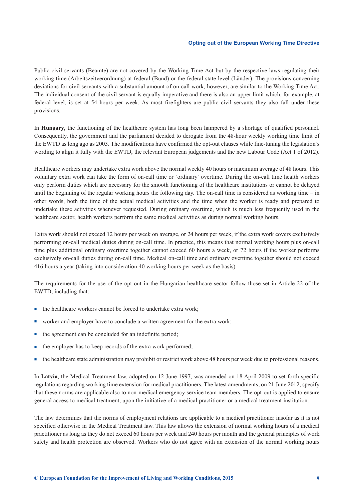Public civil servants (Beamte) are not covered by the Working Time Act but by the respective laws regulating their working time (Arbeitszeitverordnung) at federal (Bund) or the federal state level (Länder). The provisions concerning deviations for civil servants with a substantial amount of on-call work, however, are similar to the Working Time Act. The individual consent of the civil servant is equally imperative and there is also an upper limit which, for example, at federal level, is set at 54 hours per week. As most firefighters are public civil servants they also fall under these provisions.

In **Hungary**, the functioning of the healthcare system has long been hampered by a shortage of qualified personnel. Consequently, the government and the parliament decided to derogate from the 48-hour weekly working time limit of the EWTD as long ago as 2003. The modifications have confirmed the opt-out clauses while fine-tuning the legislation's wording to align it fully with the EWTD, the relevant European judgements and the new Labour Code (Act 1 of 2012).

Healthcare workers may undertake extra work above the normal weekly 40 hours or maximum average of 48 hours. This voluntary extra work can take the form of on-call time or 'ordinary' overtime. During the on-call time health workers only perform duties which are necessary for the smooth functioning of the healthcare institutions or cannot be delayed until the beginning of the regular working hours the following day. The on-call time is considered as working time – in other words, both the time of the actual medical activities and the time when the worker is ready and prepared to undertake these activities whenever requested. During ordinary overtime, which is much less frequently used in the healthcare sector, health workers perform the same medical activities as during normal working hours.

Extra work should not exceed 12 hours per week on average, or 24 hours per week, if the extra work covers exclusively performing on-call medical duties during on-call time. In practice, this means that normal working hours plus on-call time plus additional ordinary overtime together cannot exceed 60 hours a week, or 72 hours if the worker performs exclusively on-call duties during on-call time. Medical on-call time and ordinary overtime together should not exceed 416 hours a year (taking into consideration 40 working hours per week as the basis).

The requirements for the use of the opt-out in the Hungarian healthcare sector follow those set in Article 22 of the EWTD, including that:

- n the healthcare workers cannot be forced to undertake extra work;
- worker and employer have to conclude a written agreement for the extra work;
- n the agreement can be concluded for an indefinite period;
- the employer has to keep records of the extra work performed;
- n the healthcare state administration may prohibit or restrict work above 48 hours per week due to professional reasons.

In **Latvia**, the Medical Treatment law, adopted on 12 June 1997, was amended on 18 April 2009 to set forth specific regulations regarding working time extension for medical practitioners. The latest amendments, on 21 June 2012, specify that these norms are applicable also to non-medical emergency service team members. The opt-out is applied to ensure general access to medical treatment, upon the initiative of a medical practitioner or a medical treatment institution.

The law determines that the norms of employment relations are applicable to a medical practitioner insofar as it is not specified otherwise in the Medical Treatment law. This law allows the extension of normal working hours of a medical practitioner as long as they do not exceed 60 hours per week and 240 hours per month and the general principles of work safety and health protection are observed. Workers who do not agree with an extension of the normal working hours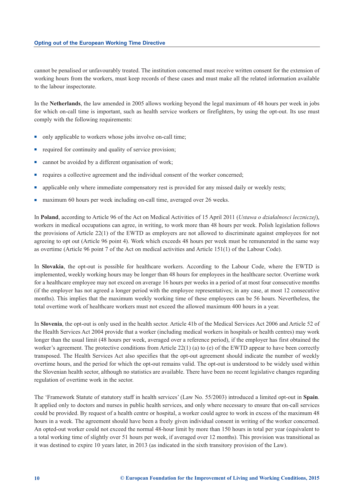cannot be penalised or unfavourably treated. The institution concerned must receive written consent for the extension of working hours from the workers, must keep records of these cases and must make all the related information available to the labour inspectorate.

In the **Netherlands**, the law amended in 2005 allows working beyond the legal maximum of 48 hours per week in jobs for which on-call time is important, such as health service workers or firefighters, by using the opt-out. Its use must comply with the following requirements:

- n only applicable to workers whose jobs involve on-call time;
- n required for continuity and quality of service provision;
- n cannot be avoided by a different organisation of work;
- <sup>n</sup> requires a collective agreement and the individual consent of the worker concerned;
- n applicable only where immediate compensatory rest is provided for any missed daily or weekly rests;
- maximum 60 hours per week including on-call time, averaged over 26 weeks.

In **Poland**, according to Article 96 of the Act on Medical Activities of 15 April 2011 (*Ustawa o działalnosci leczniczej*), workers in medical occupations can agree, in writing, to work more than 48 hours per week. Polish legislation follows the provisions of Article 22(1) of the EWTD as employers are not allowed to discriminate against employees for not agreeing to opt out (Article 96 point 4). Work which exceeds 48 hours per week must be remunerated in the same way as overtime (Article 96 point 7 of the Act on medical activities and Article 151(1) of the Labour Code).

In **Slovakia**, the opt-out is possible for healthcare workers. According to the Labour Code, where the EWTD is implemented, weekly working hours may be longer than 48 hours for employees in the healthcare sector. Overtime work for a healthcare employee may not exceed on average 16 hours per weeks in a period of at most four consecutive months (if the employer has not agreed a longer period with the employee representatives; in any case, at most 12 consecutive months). This implies that the maximum weekly working time of these employees can be 56 hours. Nevertheless, the total overtime work of healthcare workers must not exceed the allowed maximum 400 hours in a year.

In **Slovenia**, the opt-out is only used in the health sector. Article 41b of the Medical Services Act 2006 and Article 52 of the Health Services Act 2004 provide that a worker (including medical workers in hospitals or health centres) may work longer than the usual limit (48 hours per week, averaged over a reference period), if the employer has first obtained the worker's agreement. The protective conditions from Article 22(1) (a) to (e) of the EWTD appear to have been correctly transposed. The Health Services Act also specifies that the opt-out agreement should indicate the number of weekly overtime hours, and the period for which the opt-out remains valid. The opt-out is understood to be widely used within the Slovenian health sector, although no statistics are available. There have been no recent legislative changes regarding regulation of overtime work in the sector.

The 'Framework Statute of statutory staff in health services' (Law No. 55/2003) introduced a limited opt-out in **Spain**. It applied only to doctors and nurses in public health services, and only where necessary to ensure that on-call services could be provided. By request of a health centre or hospital, a worker could agree to work in excess of the maximum 48 hours in a week. The agreement should have been a freely given individual consent in writing of the worker concerned. An opted-out worker could not exceed the normal 48-hour limit by more than 150 hours in total per year (equivalent to a total working time of slightly over 51 hours per week, if averaged over 12 months). This provision was transitional as it was destined to expire 10 years later, in 2013 (as indicated in the sixth transitory provision of the Law).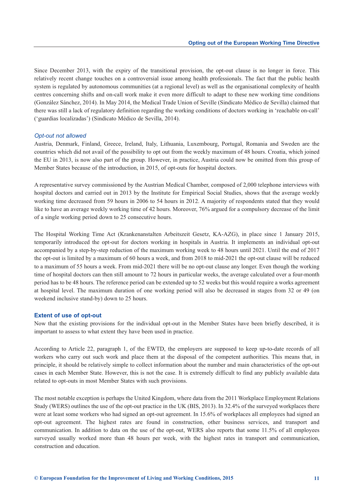Since December 2013, with the expiry of the transitional provision, the opt-out clause is no longer in force. This relatively recent change touches on a controversial issue among health professionals. The fact that the public health system is regulated by autonomous communities (at a regional level) as well as the organisational complexity of health centres concerning shifts and on-call work make it even more difficult to adapt to these new working time conditions (González Sánchez, 2014). In May 2014, the Medical Trade Union of Seville (Sindicato Médico de Sevilla) claimed that there was still a lack of regulatory definition regarding the working conditions of doctors working in 'reachable on-call' ('guardias localizadas') (Sindicato Médico de Sevilla, 2014).

#### *Opt-out not allowed*

Austria, Denmark, Finland, Greece, Ireland, Italy, Lithuania, Luxembourg, Portugal, Romania and Sweden are the countries which did not avail of the possibility to opt out from the weekly maximum of 48 hours. Croatia, which joined the EU in 2013, is now also part of the group. However, in practice, Austria could now be omitted from this group of Member States because of the introduction, in 2015, of opt-outs for hospital doctors.

A representative survey commissioned by the Austrian Medical Chamber, composed of 2,000 telephone interviews with hospital doctors and carried out in 2013 by the Institute for Empirical Social Studies, shows that the average weekly working time decreased from 59 hours in 2006 to 54 hours in 2012. A majority of respondents stated that they would like to have an average weekly working time of 42 hours. Moreover, 76% argued for a compulsory decrease of the limit of a single working period down to 25 consecutive hours.

The Hospital Working Time Act (Krankenanstalten Arbeitszeit Gesetz, KA-AZG), in place since 1 January 2015, temporarily introduced the opt-out for doctors working in hospitals in Austria. It implements an individual opt-out accompanied by a step-by-step reduction of the maximum working week to 48 hours until 2021. Until the end of 2017 the opt-out is limited by a maximum of 60 hours a week, and from 2018 to mid-2021 the opt-out clause will be reduced to a maximum of 55 hours a week. From mid-2021 there will be no opt-out clause any longer. Even though the working time of hospital doctors can then still amount to 72 hours in particular weeks, the average calculated over a four-month period has to be 48 hours. The reference period can be extended up to 52 weeks but this would require a works agreement at hospital level. The maximum duration of one working period will also be decreased in stages from 32 or 49 (on weekend inclusive stand-by) down to 25 hours.

#### **Extent of use of opt-out**

Now that the existing provisions for the individual opt-out in the Member States have been briefly described, it is important to assess to what extent they have been used in practice.

According to Article 22, paragraph 1, of the EWTD, the employers are supposed to keep up-to-date records of all workers who carry out such work and place them at the disposal of the competent authorities. This means that, in principle, it should be relatively simple to collect information about the number and main characteristics of the opt-out cases in each Member State. However, this is not the case. It is extremely difficult to find any publicly available data related to opt-outs in most Member States with such provisions.

The most notable exception is perhaps the United Kingdom, where data from the 2011 Workplace Employment Relations Study (WERS) outlines the use of the opt-out practice in the UK (BIS, 2013). In 32.4% of the surveyed workplaces there were at least some workers who had signed an opt-out agreement. In 15.6% of workplaces all employees had signed an opt-out agreement. The highest rates are found in construction, other business services, and transport and communication. In addition to data on the use of the opt-out, WERS also reports that some 11.5% of all employees surveyed usually worked more than 48 hours per week, with the highest rates in transport and communication, construction and education.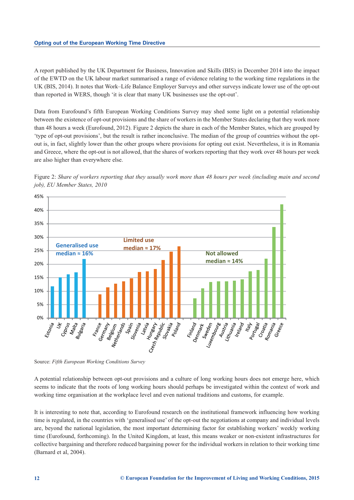A report published by the UK Department for Business, Innovation and Skills (BIS) in December 2014 into the impact of the EWTD on the UK labour market summarised a range of evidence relating to the working time regulations in the UK (BIS, 2014). It notes that Work–Life Balance Employer Surveys and other surveys indicate lower use of the opt-out than reported in WERS, though 'it is clear that many UK businesses use the opt-out'.

Data from Eurofound's fifth European Working Conditions Survey may shed some light on a potential relationship between the existence of opt-out provisions and the share of workers in the Member States declaring that they work more than 48 hours a week (Eurofound, 2012). Figure 2 depicts the share in each of the Member States, which are grouped by 'type of opt-out provisions', but the result is rather inconclusive. The median of the group of countries without the optout is, in fact, slightly lower than the other groups where provisions for opting out exist. Nevertheless, it is in Romania and Greece, where the opt-out is not allowed, that the shares of workers reporting that they work over 48 hours per week are also higher than everywhere else.





Source: *Fifth European Working Conditions Survey*

A potential relationship between opt-out provisions and a culture of long working hours does not emerge here, which seems to indicate that the roots of long working hours should perhaps be investigated within the context of work and working time organisation at the workplace level and even national traditions and customs, for example.

It is interesting to note that, according to Eurofound research on the institutional framework influencing how working time is regulated, in the countries with 'generalised use' of the opt-out the negotiations at company and individual levels are, beyond the national legislation, the most important determining factor for establishing workers' weekly working time (Eurofound, forthcoming). In the United Kingdom, at least, this means weaker or non-existent infrastructures for collective bargaining and therefore reduced bargaining power for the individual workers in relation to their working time (Barnard et al, 2004).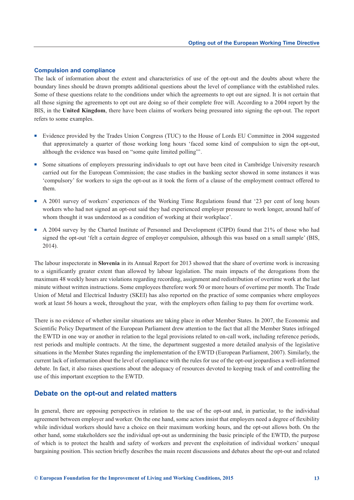#### **Compulsion and compliance**

The lack of information about the extent and characteristics of use of the opt-out and the doubts about where the boundary lines should be drawn prompts additional questions about the level of compliance with the established rules. Some of these questions relate to the conditions under which the agreements to opt out are signed. It is not certain that all those signing the agreements to opt out are doing so of their complete free will. According to a 2004 report by the BIS, in the **United Kingdom**, there have been claims of workers being pressured into signing the opt-out. The report refers to some examples.

- <sup>n</sup> Evidence provided by the Trades Union Congress (TUC) to the House of Lords EU Committee in 2004 suggested that approximately a quarter of those working long hours 'faced some kind of compulsion to sign the opt-out, although the evidence was based on "some quite limited polling"'.
- Some situations of employers pressuring individuals to opt out have been cited in Cambridge University research carried out for the European Commission; the case studies in the banking sector showed in some instances it was 'compulsory' for workers to sign the opt-out as it took the form of a clause of the employment contract offered to them.
- <sup>n</sup> A 2001 survey of workers' experiences of the Working Time Regulations found that '23 per cent of long hours workers who had not signed an opt-out said they had experienced employer pressure to work longer, around half of whom thought it was understood as a condition of working at their workplace'.
- <sup>n</sup> A 2004 survey by the Charted Institute of Personnel and Development (CIPD) found that 21% of those who had signed the opt-out 'felt a certain degree of employer compulsion, although this was based on a small sample' (BIS, 2014).

The labour inspectorate in **Slovenia** in its Annual Report for 2013 showed that the share of overtime work is increasing to a significantly greater extent than allowed by labour legislation. The main impacts of the derogations from the maximum 48 weekly hours are violations regarding recording, assignment and redistribution of overtime work at the last minute without written instructions. Some employees therefore work 50 or more hours of overtime per month. The Trade Union of Metal and Electrical Industry (SKEI) has also reported on the practice of some companies where employees work at least 56 hours a week, throughout the year, with the employers often failing to pay them for overtime work.

There is no evidence of whether similar situations are taking place in other Member States. In 2007, the Economic and Scientific Policy Department of the European Parliament drew attention to the fact that all the Member States infringed the EWTD in one way or another in relation to the legal provisions related to on-call work, including reference periods, rest periods and multiple contracts. At the time, the department suggested a more detailed analysis of the legislative situations in the Member States regarding the implementation of the EWTD (European Parliament, 2007). Similarly, the current lack of information about the level of compliance with the rules for use of the opt-out jeopardises a well-informed debate. In fact, it also raises questions about the adequacy of resources devoted to keeping track of and controlling the use of this important exception to the EWTD.

# **Debate on the opt-out and related matters**

In general, there are opposing perspectives in relation to the use of the opt-out and, in particular, to the individual agreement between employer and worker. On the one hand, some actors insist that employers need a degree of flexibility while individual workers should have a choice on their maximum working hours, and the opt-out allows both. On the other hand, some stakeholders see the individual opt-out as undermining the basic principle of the EWTD, the purpose of which is to protect the health and safety of workers and prevent the exploitation of individual workers' unequal bargaining position. This section briefly describes the main recent discussions and debates about the opt-out and related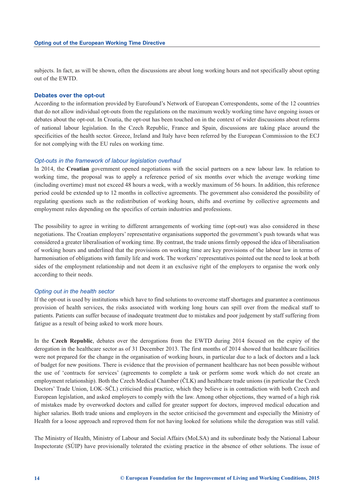<span id="page-19-0"></span>subjects. In fact, as will be shown, often the discussions are about long working hours and not specifically about opting out of the EWTD.

#### **Debates over the opt-out**

According to the information provided by Eurofound's Network of European Correspondents, some of the 12 countries that do not allow individual opt-outs from the regulations on the maximum weekly working time have ongoing issues or debates about the opt-out. In Croatia, the opt-out has been touched on in the context of wider discussions about reforms of national labour legislation. In the Czech Republic, France and Spain, discussions are taking place around the specificities of the health sector. Greece, Ireland and Italy have been referred by the European Commission to the ECJ for not complying with the EU rules on working time.

#### *Opt-outs in the framework of labour legislation overhaul*

In 2014, the **Croatian** government opened negotiations with the social partners on a new labour law. In relation to working time, the proposal was to apply a reference period of six months over which the average working time (including overtime) must not exceed 48 hours a week, with a weekly maximum of 56 hours. In addition, this reference period could be extended up to 12 months in collective agreements. The government also considered the possibility of regulating questions such as the redistribution of working hours, shifts and overtime by collective agreements and employment rules depending on the specifics of certain industries and professions.

The possibility to agree in writing to different arrangements of working time (opt-out) was also considered in these negotiations. The Croatian employers' representative organisations supported the government's push towards what was considered a greater liberalisation of working time. By contrast, the trade unions firmly opposed the idea of liberalisation of working hours and underlined that the provisions on working time are key provisions of the labour law in terms of harmonisation of obligations with family life and work. The workers' representatives pointed out the need to look at both sides of the employment relationship and not deem it an exclusive right of the employers to organise the work only according to their needs.

#### *Opting out in the health sector*

If the opt-out is used by institutions which have to find solutions to overcome staff shortages and guarantee a continuous provision of health services, the risks associated with working long hours can spill over from the medical staff to patients. Patients can suffer because of inadequate treatment due to mistakes and poor judgement by staff suffering from fatigue as a result of being asked to work more hours.

In the **Czech Republic**, debates over the derogations from the EWTD during 2014 focused on the expiry of the derogation in the healthcare sector as of 31 December 2013. The first months of 2014 showed that healthcare facilities were not prepared for the change in the organisation of working hours, in particular due to a lack of doctors and a lack of budget for new positions. There is evidence that the provision of permanent healthcare has not been possible without the use of 'contracts for services' (agreements to complete a task or perform some work which do not create an employment relationship). Both the Czech Medical Chamber (ČLK) and healthcare trade unions (in particular the Czech Doctors' Trade Union, LOK–SČL) criticised this practice, which they believe is in contradiction with both Czech and European legislation, and asked employers to comply with the law. Among other objections, they warned of a high risk of mistakes made by overworked doctors and called for greater support for doctors, improved medical education and higher salaries. Both trade unions and employers in the sector criticised the government and especially the Ministry of Health for a loose approach and reproved them for not having looked for solutions while the derogation was still valid.

The Ministry of Health, Ministry of Labour and Social Affairs (MoLSA) and its subordinate body the National Labour Inspectorate (SÚIP) have provisionally tolerated the existing practice in the absence of other solutions. The issue of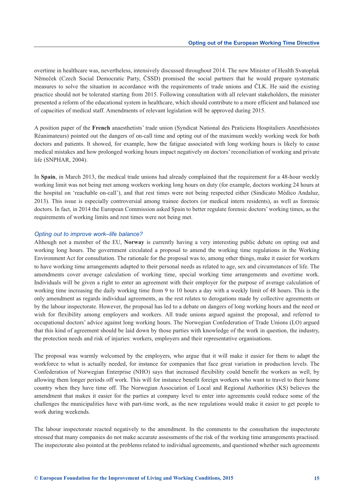overtime in healthcare was, nevertheless, intensively discussed throughout 2014. The new Minister of Health Svatopluk Němeček (Czech Social Democratic Party, ČSSD) promised the social partners that he would prepare systematic measures to solve the situation in accordance with the requirements of trade unions and ČLK. He said the existing practice should not be tolerated starting from 2015. Following consultation with all relevant stakeholders, the minister presented a reform of the educational system in healthcare, which should contribute to a more efficient and balanced use of capacities of medical staff. Amendments of relevant legislation will be approved during 2015.

A position paper of the **French** anaesthetists' trade union (Syndicat National des Praticiens Hospitaliers Anesthésistes Réanimateurs) pointed out the dangers of on-call time and opting out of the maximum weekly working week for both doctors and patients. It showed, for example, how the fatigue associated with long working hours is likely to cause medical mistakes and how prolonged working hours impact negatively on doctors' reconciliation of working and private life (SNPHAR, 2004).

In **Spain**, in March 2013, the medical trade unions had already complained that the requirement for a 48-hour weekly working limit was not being met among workers working long hours on duty (for example, doctors working 24 hours at the hospital on 'reachable on-call'), and that rest times were not being respected either (Sindicato Médico Andaluz, 2013). This issue is especially controversial among trainee doctors (or medical intern residents), as well as forensic doctors. In fact, in 2014 the European Commission asked Spain to better regulate forensic doctors' working times, as the requirements of working limits and rest times were not being met.

#### *Opting out to improve work–life balance?*

Although not a member of the EU, **Norway** is currently having a very interesting public debate on opting out and working long hours. The government circulated a proposal to amend the working time regulations in the Working Environment Act for consultation. The rationale for the proposal was to, among other things, make it easier for workers to have working time arrangements adapted to their personal needs as related to age, sex and circumstances of life. The amendments cover average calculation of working time, special working time arrangements and overtime work. Individuals will be given a right to enter an agreement with their employer for the purpose of average calculation of working time increasing the daily working time from 9 to 10 hours a day with a weekly limit of 48 hours. This is the only amendment as regards individual agreements, as the rest relates to derogations made by collective agreements or by the labour inspectorate. However, the proposal has led to a debate on dangers of long working hours and the need or wish for flexibility among employers and workers. All trade unions argued against the proposal, and referred to occupational doctors' advice against long working hours. The Norwegian Confederation of Trade Unions (LO) argued that this kind of agreement should be laid down by those parties with knowledge of the work in question, the industry, the protection needs and risk of injuries: workers, employers and their representative organisations.

The proposal was warmly welcomed by the employers, who argue that it will make it easier for them to adapt the workforce to what is actually needed, for instance for companies that face great variation in production levels. The Confederation of Norwegian Enterprise (NHO) says that increased flexibility could benefit the workers as well, by allowing them longer periods off work. This will for instance benefit foreign workers who want to travel to their home country when they have time off. The Norwegian Association of Local and Regional Authorities (KS) believes the amendment that makes it easier for the parties at company level to enter into agreements could reduce some of the challenges the municipalities have with part-time work, as the new regulations would make it easier to get people to work during weekends.

The labour inspectorate reacted negatively to the amendment. In the comments to the consultation the inspectorate stressed that many companies do not make accurate assessments of the risk of the working time arrangements practised. The inspectorate also pointed at the problems related to individual agreements, and questioned whether such agreements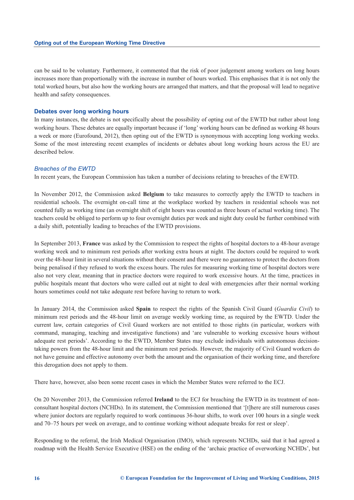can be said to be voluntary. Furthermore, it commented that the risk of poor judgement among workers on long hours increases more than proportionally with the increase in number of hours worked. This emphasises that it is not only the total worked hours, but also how the working hours are arranged that matters, and that the proposal will lead to negative health and safety consequences.

#### **Debates over long working hours**

In many instances, the debate is not specifically about the possibility of opting out of the EWTD but rather about long working hours. These debates are equally important because if 'long' working hours can be defined as working 48 hours a week or more (Eurofound, 2012), then opting out of the EWTD is synonymous with accepting long working weeks. Some of the most interesting recent examples of incidents or debates about long working hours across the EU are described below.

#### *Breaches of the EWTD*

In recent years, the European Commission has taken a number of decisions relating to breaches of the EWTD.

In November 2012, the Commission asked **Belgium** to take measures to correctly apply the EWTD to teachers in residential schools. The overnight on-call time at the workplace worked by teachers in residential schools was not counted fully as working time (an overnight shift of eight hours was counted as three hours of actual working time). The teachers could be obliged to perform up to four overnight duties per week and night duty could be further combined with a daily shift, potentially leading to breaches of the EWTD provisions.

In September 2013, **France** was asked by the Commission to respect the rights of hospital doctors to a 48-hour average working week and to minimum rest periods after working extra hours at night. The doctors could be required to work over the 48-hour limit in several situations without their consent and there were no guarantees to protect the doctors from being penalised if they refused to work the excess hours. The rules for measuring working time of hospital doctors were also not very clear, meaning that in practice doctors were required to work excessive hours. At the time, practices in public hospitals meant that doctors who were called out at night to deal with emergencies after their normal working hours sometimes could not take adequate rest before having to return to work.

In January 2014, the Commission asked **Spain** to respect the rights of the Spanish Civil Guard (*Guardia Civil*) to minimum rest periods and the 48-hour limit on average weekly working time, as required by the EWTD. Under the current law, certain categories of Civil Guard workers are not entitled to those rights (in particular, workers with command, managing, teaching and investigative functions) and 'are vulnerable to working excessive hours without adequate rest periods'. According to the EWTD, Member States may exclude individuals with autonomous decisiontaking powers from the 48-hour limit and the minimum rest periods. However, the majority of Civil Guard workers do not have genuine and effective autonomy over both the amount and the organisation of their working time, and therefore this derogation does not apply to them.

There have, however, also been some recent cases in which the Member States were referred to the ECJ.

On 20 November 2013, the Commission referred **Ireland** to the ECJ for breaching the EWTD in its treatment of nonconsultant hospital doctors (NCHDs). In its statement, the Commission mentioned that '[t]here are still numerous cases where junior doctors are regularly required to work continuous 36-hour shifts, to work over 100 hours in a single week and 70–75 hours per week on average, and to continue working without adequate breaks for rest or sleep'.

Responding to the referral, the Irish Medical Organisation (IMO), which represents NCHDs, said that it had agreed a roadmap with the Health Service Executive (HSE) on the ending of the 'archaic practice of overworking NCHDs', but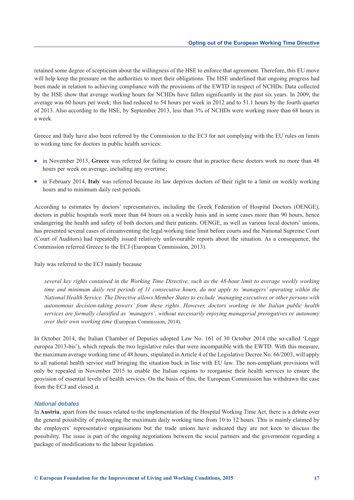retained some degree of scepticism about the willingness of the HSE to enforce that agreement. Therefore, this EU move will help keep the pressure on the authorities to meet their obligations. The HSE underlined that ongoing progress had been made in relation to achieving compliance with the provisions of the EWTD in respect of NCHDs. Data collected by the HSE show that average working hours for NCHDs have fallen significantly in the past six years. In 2009, the average was 60 hours per week; this had reduced to 54 hours per week in 2012 and to 51.1 hours by the fourth quarter of 2013. Also according to the HSE, by September 2013, less than 3% of NCHDs were working more than 68 hours in a week.

Greece and Italy have also been referred by the Commission to the ECJ for not complying with the EU rules on limits to working time for doctors in public health services:

- <sup>n</sup> in November 2013, **Greece** was referred for failing to ensure that in practice these doctors work no more than 48 hours per week on average, including any overtime;
- <sup>n</sup> in February 2014, **Italy** was referred because its law deprives doctors of their right to a limit on weekly working hours and to minimum daily rest periods.

According to estimates by doctors' representatives, including the Greek Federation of Hospital Doctors (OENGE), doctors in public hospitals work more than 64 hours on a weekly basis and in some cases more than 90 hours, hence endangering the health and safety of both doctors and their patients. OENGE, as well as various local doctors' unions, has presented several cases of circumventing the legal working time limit before courts and the National Supreme Court (Court of Auditors) had repeatedly issued relatively unfavourable reports about the situation. As a consequence, the Commission referred Greece to the ECJ (European Commission, 2013).

#### Italy was referred to the ECJ mainly because

*several key rights contained in the Working Time Directive, such as the 48-hour limit to average weekly working time and minimum daily rest periods of 11 consecutive hours, do not apply to 'managers' operating within the National Health Service. The Directive allows Member States to exclude 'managing executives or other persons with autonomous decision-taking powers' from these rights. However, doctors working in the Italian public health services are formally classified as 'managers', without necessarily enjoying managerial prerogatives or autonomy over their own working time* (European Commission, 2014)*.* 

In October 2014, the Italian Chamber of Deputies adopted Law No. 161 of 30 October 2014 (the so-called 'Legge europea 2013-bis'), which repeals the two legislative rules that were incompatible with the EWTD. With this measure, the maximum average working time of 48 hours, stipulated in Article 4 of the Legislative Decree No. 66/2003, will apply to all national health service staff bringing the situation back in line with EU law. The non-compliant provisions will only be repealed in November 2015 to enable the Italian regions to reorganise their health services to ensure the provision of essential levels of health services. On the basis of this, the European Commission has withdrawn the case from the ECJ and closed it.

#### *National debates*

In **Austria**, apart from the issues related to the implementation of the Hospital Working Time Act, there is a debate over the general possibility of prolonging the maximum daily working time from 10 to 12 hours. This is mainly claimed by the employers' representative organisations but the trade unions have indicated they are not keen to discuss the possibility. The issue is part of the ongoing negotiations between the social partners and the government regarding a package of modifications to the labour legislation.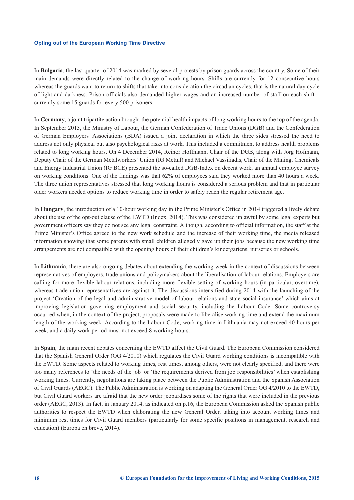In **Bulgaria**, the last quarter of 2014 was marked by several protests by prison guards across the country. Some of their main demands were directly related to the change of working hours. Shifts are currently for 12 consecutive hours whereas the guards want to return to shifts that take into consideration the circadian cycles, that is the natural day cycle of light and darkness. Prison officials also demanded higher wages and an increased number of staff on each shift – currently some 15 guards for every 500 prisoners.

In **Germany**, a joint tripartite action brought the potential health impacts of long working hours to the top of the agenda. In September 2013, the Ministry of Labour, the German Confederation of Trade Unions (DGB) and the Confederation of German Employers' Associations (BDA) issued a joint declaration in which the three sides stressed the need to address not only physical but also psychological risks at work. This included a commitment to address health problems related to long working hours. On 4 December 2014, Reiner Hoffmann, Chair of the DGB, along with Jörg Hofmann, Deputy Chair of the German Metalworkers' Union (IG Metall) and Michael Vassiliadis, Chair of the Mining, Chemicals and Energy Industrial Union (IG BCE) presented the so-called DGB-Index on decent work, an annual employee survey on working conditions. One of the findings was that 62% of employees said they worked more than 40 hours a week. The three union representatives stressed that long working hours is considered a serious problem and that in particular older workers needed options to reduce working time in order to safely reach the regular retirement age.

In **Hungary**, the introduction of a 10-hour working day in the Prime Minister's Office in 2014 triggered a lively debate about the use of the opt-out clause of the EWTD (Index, 2014). This was considered unlawful by some legal experts but government officers say they do not see any legal constraint. Although, according to official information, the staff at the Prime Minister's Office agreed to the new work schedule and the increase of their working time, the media released information showing that some parents with small children allegedly gave up their jobs because the new working time arrangements are not compatible with the opening hours of their children's kindergartens, nurseries or schools.

In **Lithuania**, there are also ongoing debates about extending the working week in the context of discussions between representatives of employers, trade unions and policymakers about the liberalisation of labour relations. Employers are calling for more flexible labour relations, including more flexible setting of working hours (in particular, overtime), whereas trade union representatives are against it. The discussions intensified during 2014 with the launching of the project 'Creation of the legal and administrative model of labour relations and state social insurance' which aims at improving legislation governing employment and social security, including the Labour Code. Some controversy occurred when, in the context of the project, proposals were made to liberalise working time and extend the maximum length of the working week. According to the Labour Code, working time in Lithuania may not exceed 40 hours per week, and a daily work period must not exceed 8 working hours.

In **Spain**, the main recent debates concerning the EWTD affect the Civil Guard. The European Commission considered that the Spanish General Order (OG 4/2010) which regulates the Civil Guard working conditions is incompatible with the EWTD. Some aspects related to working times, rest times, among others, were not clearly specified, and there were too many references to 'the needs of the job' or 'the requirements derived from job responsibilities' when establishing working times. Currently, negotiations are taking place between the Public Administration and the Spanish Association of Civil Guards (AEGC). The Public Administration is working on adapting the General Order OG 4/2010 to the EWTD, but Civil Guard workers are afraid that the new order jeopardises some of the rights that were included in the previous order (AEGC, 2013). In fact, in January 2014, as indicated on p.16, the European Commission asked the Spanish public authorities to respect the EWTD when elaborating the new General Order, taking into account working times and minimum rest times for Civil Guard members (particularly for some specific positions in management, research and education) (Europa en breve, 2014).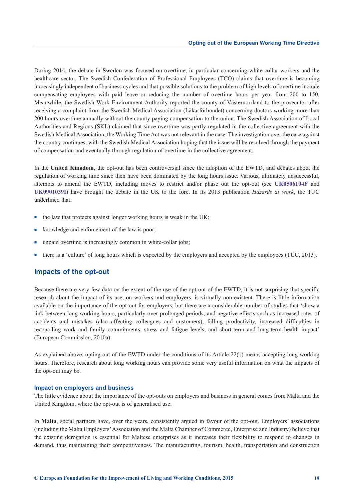<span id="page-24-0"></span>During 2014, the debate in **Sweden** was focused on overtime, in particular concerning white-collar workers and the healthcare sector. The Swedish Confederation of Professional Employees (TCO) claims that overtime is becoming increasingly independent of business cycles and that possible solutions to the problem of high levels of overtime include compensating employees with paid leave or reducing the number of overtime hours per year from 200 to 150. Meanwhile, the Swedish Work Environment Authority reported the county of Västernorrland to the prosecutor after receiving a complaint from the Swedish Medical Association (Läkarförbundet) concerning doctors working more than 200 hours overtime annually without the county paying compensation to the union. The Swedish Association of Local Authorities and Regions (SKL) claimed that since overtime was partly regulated in the collective agreement with the Swedish Medical Association, the Working Time Act was not relevant in the case. The investigation over the case against the country continues, with the Swedish Medical Association hoping that the issue will be resolved through the payment of compensation and eventually through regulation of overtime in the collective agreement.

In the **United Kingdom**, the opt-out has been controversial since the adoption of the EWTD, and debates about the regulation of working time since then have been dominated by the long hours issue. Various, ultimately unsuccessful, attempts to amend the EWTD, including moves to restrict and/or phase out the opt-out (see **[UK0506104F](http://eurofound.europa.eu/observatories/eurwork/articles/mixed-uk-reaction-to-developments-concerning-amendment-of-eu-working-time-legislation)** and **[UK0901039I](http://eurofound.europa.eu/observatories/eurwork/articles/mixed-reaction-to-european-parliament-rejection-of-working-time-opt-out)**) have brought the debate in the UK to the fore. In its 2013 publication *Hazards at work*, the TUC underlined that:

- $\blacksquare$  the law that protects against longer working hours is weak in the UK;
- knowledge and enforcement of the law is poor;
- unpaid overtime is increasingly common in white-collar jobs;
- <sup>n</sup> there is a 'culture' of long hours which is expected by the employers and accepted by the employees (TUC, 2013).

# **Impacts of the opt-out**

Because there are very few data on the extent of the use of the opt-out of the EWTD, it is not surprising that specific research about the impact of its use, on workers and employers, is virtually non-existent. There is little information available on the importance of the opt-out for employers, but there are a considerable number of studies that 'show a link between long working hours, particularly over prolonged periods, and negative effects such as increased rates of accidents and mistakes (also affecting colleagues and customers), falling productivity, increased difficulties in reconciling work and family commitments, stress and fatigue levels, and short-term and long-term health impact' (European Commission, 2010a).

As explained above, opting out of the EWTD under the conditions of its Article 22(1) means accepting long working hours. Therefore, research about long working hours can provide some very useful information on what the impacts of the opt-out may be.

#### **Impact on employers and business**

The little evidence about the importance of the opt-outs on employers and business in general comes from Malta and the United Kingdom, where the opt-out is of generalised use.

In **Malta**, social partners have, over the years, consistently argued in favour of the opt-out. Employers' associations (including the Malta Employers' Association and the Malta Chamber of Commerce, Enterprise and Industry) believe that the existing derogation is essential for Maltese enterprises as it increases their flexibility to respond to changes in demand, thus maintaining their competitiveness. The manufacturing, tourism, health, transportation and construction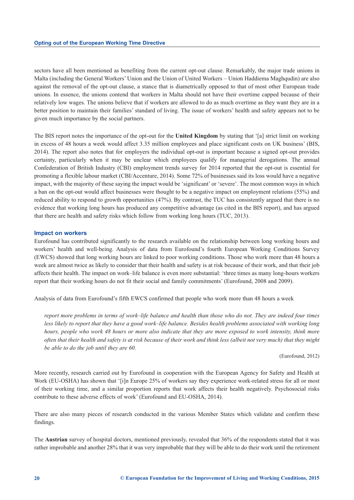sectors have all been mentioned as benefiting from the current opt-out clause. Remarkably, the major trade unions in Malta (including the General Workers' Union and the Union of United Workers – Union Haddiema Maghqudin) are also against the removal of the opt-out clause, a stance that is diametrically opposed to that of most other European trade unions. In essence, the unions contend that workers in Malta should not have their overtime capped because of their relatively low wages. The unions believe that if workers are allowed to do as much overtime as they want they are in a better position to maintain their families' standard of living. The issue of workers' health and safety appears not to be given much importance by the social partners.

The BIS report notes the importance of the opt-out for the **United Kingdom** by stating that '[a] strict limit on working in excess of 48 hours a week would affect 3.35 million employees and place significant costs on UK business' (BIS, 2014). The report also notes that for employers the individual opt-out is important because a signed opt-out provides certainty, particularly when it may be unclear which employees qualify for managerial derogations. The annual Confederation of British Industry (CBI) employment trends survey for 2014 reported that the opt-out is essential for promoting a flexible labour market (CBI/Accenture, 2014). Some 72% of businesses said its loss would have a negative impact, with the majority of these saying the impact would be 'significant' or 'severe'. The most common ways in which a ban on the opt-out would affect businesses were thought to be a negative impact on employment relations (55%) and reduced ability to respond to growth opportunities (47%). By contrast, the TUC has consistently argued that there is no evidence that working long hours has produced any competitive advantage (as cited in the BIS report), and has argued that there are health and safety risks which follow from working long hours (TUC, 2013).

#### **Impact on workers**

Eurofound has contributed significantly to the research available on the relationship between long working hours and workers' health and well-being. Analysis of data from Eurofound's fourth European Working Conditions Survey (EWCS) showed that long working hours are linked to poor working conditions. Those who work more than 48 hours a week are almost twice as likely to consider that their health and safety is at risk because of their work, and that their job affects their health. The impact on work–life balance is even more substantial: 'three times as many long-hours workers report that their working hours do not fit their social and family commitments' (Eurofound, 2008 and 2009).

Analysis of data from Eurofound's fifth EWCS confirmed that people who work more than 48 hours a week

*report more problems in terms of work–life balance and health than those who do not. They are indeed four times less likely to report that they have a good work–life balance. Besides health problems associated with working long hours, people who work 48 hours or more also indicate that they are more exposed to work intensity, think more often that their health and safety is at risk because of their work and think less (albeit not very much) that they might be able to do the job until they are 60.*

(Eurofound, 2012)

More recently, research carried out by Eurofound in cooperation with the European Agency for Safety and Health at Work (EU-OSHA) has shown that '[i]n Europe 25% of workers say they experience work-related stress for all or most of their working time, and a similar proportion reports that work affects their health negatively. Psychosocial risks contribute to these adverse effects of work' (Eurofound and EU-OSHA, 2014).

There are also many pieces of research conducted in the various Member States which validate and confirm these findings.

The **Austrian** survey of hospital doctors, mentioned previously, revealed that 36% of the respondents stated that it was rather improbable and another 28% that it was very improbable that they will be able to do their work until the retirement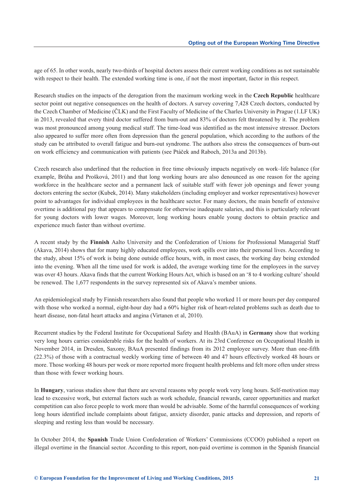age of 65. In other words, nearly two-thirds of hospital doctors assess their current working conditions as not sustainable with respect to their health. The extended working time is one, if not the most important, factor in this respect.

Research studies on the impacts of the derogation from the maximum working week in the **Czech Republic** healthcare sector point out negative consequences on the health of doctors. A survey covering 7,428 Czech doctors, conducted by the Czech Chamber of Medicine (ČLK) and the First Faculty of Medicine of the Charles University in Prague (1.LF UK) in 2013, revealed that every third doctor suffered from burn-out and 83% of doctors felt threatened by it. The problem was most pronounced among young medical staff. The time-load was identified as the most intensive stressor. Doctors also appeared to suffer more often from depression than the general population, which according to the authors of the study can be attributed to overall fatigue and burn-out syndrome. The authors also stress the consequences of burn-out on work efficiency and communication with patients (see Ptáček and Raboch, 2013a and 2013b).

Czech research also underlined that the reduction in free time obviously impacts negatively on work–life balance (for example, Brůha and Prošková, 2011) and that long working hours are also denounced as one reason for the ageing workforce in the healthcare sector and a permanent lack of suitable staff with fewer job openings and fewer young doctors entering the sector (Kubek, 2014). Many stakeholders (including employer and worker representatives) however point to advantages for individual employees in the healthcare sector. For many doctors, the main benefit of extensive overtime is additional pay that appears to compensate for otherwise inadequate salaries, and this is particularly relevant for young doctors with lower wages. Moreover, long working hours enable young doctors to obtain practice and experience much faster than without overtime.

A recent study by the **Finnish** Aalto University and the Confederation of Unions for Professional Managerial Staff (Akava, 2014) shows that for many highly educated employees, work spills over into their personal lives. According to the study, about 15% of work is being done outside office hours, with, in most cases, the working day being extended into the evening. When all the time used for work is added, the average working time for the employees in the survey was over 43 hours. Akava finds that the current Working Hours Act, which is based on an '8 to 4 working culture' should be renewed. The 1,677 respondents in the survey represented six of Akava's member unions.

An epidemiological study by Finnish researchers also found that people who worked 11 or more hours per day compared with those who worked a normal, eight-hour day had a 60% higher risk of heart-related problems such as death due to heart disease, non-fatal heart attacks and angina (Virtanen et al, 2010).

Recurrent studies by the Federal Institute for Occupational Safety and Health (BAuA) in **Germany** show that working very long hours carries considerable risks for the health of workers. At its 23rd Conference on Occupational Health in November 2014, in Dresden, Saxony, BAuA presented findings from its 2012 employee survey. More than one-fifth (22.3%) of those with a contractual weekly working time of between 40 and 47 hours effectively worked 48 hours or more. Those working 48 hours per week or more reported more frequent health problems and felt more often under stress than those with fewer working hours.

In **Hungary**, various studies show that there are several reasons why people work very long hours. Self-motivation may lead to excessive work, but external factors such as work schedule, financial rewards, career opportunities and market competition can also force people to work more than would be advisable. Some of the harmful consequences of working long hours identified include complaints about fatigue, anxiety disorder, panic attacks and depression, and reports of sleeping and resting less than would be necessary.

In October 2014, the **Spanish** Trade Union Confederation of Workers' Commissions (CCOO) published a report on illegal overtime in the financial sector. According to this report, non-paid overtime is common in the Spanish financial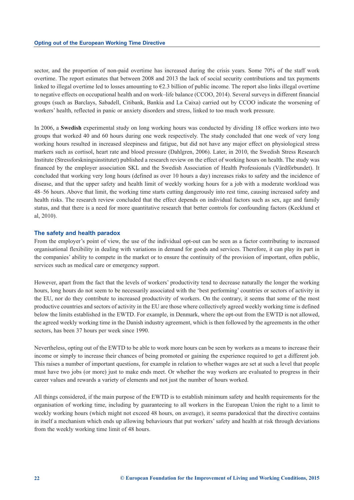sector, and the proportion of non-paid overtime has increased during the crisis years. Some 70% of the staff work overtime. The report estimates that between 2008 and 2013 the lack of social security contributions and tax payments linked to illegal overtime led to losses amounting to  $E2.3$  billion of public income. The report also links illegal overtime to negative effects on occupational health and on work–life balance (CCOO, 2014). Several surveys in different financial groups (such as Barclays, Sabadell, Citibank, Bankia and La Caixa) carried out by CCOO indicate the worsening of workers' health, reflected in panic or anxiety disorders and stress, linked to too much work pressure.

In 2006, a **Swedish** experimental study on long working hours was conducted by dividing 18 office workers into two groups that worked 40 and 60 hours during one week respectively. The study concluded that one week of very long working hours resulted in increased sleepiness and fatigue, but did not have any major effect on physiological stress markers such as cortisol, heart rate and blood pressure (Dahlgren, 2006). Later, in 2010, the Swedish Stress Research Institute (Stressforskningsinstitutet) published a research review on the effect of working hours on health. The study was financed by the employer association SKL and the Swedish Association of Health Professionals (Vårdförbundet). It concluded that working very long hours (defined as over 10 hours a day) increases risks to safety and the incidence of disease, and that the upper safety and health limit of weekly working hours for a job with a moderate workload was 48–56 hours. Above that limit, the working time starts cutting dangerously into rest time, causing increased safety and health risks. The research review concluded that the effect depends on individual factors such as sex, age and family status, and that there is a need for more quantitative research that better controls for confounding factors (Kecklund et al, 2010).

#### **The safety and health paradox**

From the employer's point of view, the use of the individual opt-out can be seen as a factor contributing to increased organisational flexibility in dealing with variations in demand for goods and services. Therefore, it can play its part in the companies' ability to compete in the market or to ensure the continuity of the provision of important, often public, services such as medical care or emergency support.

However, apart from the fact that the levels of workers' productivity tend to decrease naturally the longer the working hours, long hours do not seem to be necessarily associated with the 'best performing' countries or sectors of activity in the EU, nor do they contribute to increased productivity of workers. On the contrary, it seems that some of the most productive countries and sectors of activity in the EU are those where collectively agreed weekly working time is defined below the limits established in the EWTD. For example, in Denmark, where the opt-out from the EWTD is not allowed, the agreed weekly working time in the Danish industry agreement, which is then followed by the agreements in the other sectors, has been 37 hours per week since 1990.

Nevertheless, opting out of the EWTD to be able to work more hours can be seen by workers as a means to increase their income or simply to increase their chances of being promoted or gaining the experience required to get a different job. This raises a number of important questions, for example in relation to whether wages are set at such a level that people must have two jobs (or more) just to make ends meet. Or whether the way workers are evaluated to progress in their career values and rewards a variety of elements and not just the number of hours worked.

All things considered, if the main purpose of the EWTD is to establish minimum safety and health requirements for the organisation of working time, including by guaranteeing to all workers in the European Union the right to a limit to weekly working hours (which might not exceed 48 hours, on average), it seems paradoxical that the directive contains in itself a mechanism which ends up allowing behaviours that put workers' safety and health at risk through deviations from the weekly working time limit of 48 hours.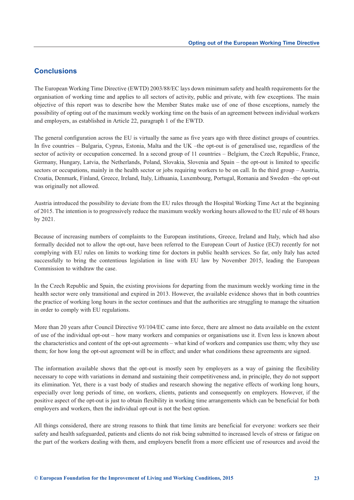# <span id="page-28-0"></span>**Conclusions**

The European Working Time Directive (EWTD) 2003/88/EC lays down minimum safety and health requirements for the organisation of working time and applies to all sectors of activity, public and private, with few exceptions. The main objective of this report was to describe how the Member States make use of one of those exceptions, namely the possibility of opting out of the maximum weekly working time on the basis of an agreement between individual workers and employers, as established in Article 22, paragraph 1 of the EWTD.

The general configuration across the EU is virtually the same as five years ago with three distinct groups of countries. In five countries – Bulgaria, Cyprus, Estonia, Malta and the UK –the opt-out is of generalised use, regardless of the sector of activity or occupation concerned. In a second group of 11 countries – Belgium, the Czech Republic, France, Germany, Hungary, Latvia, the Netherlands, Poland, Slovakia, Slovenia and Spain – the opt-out is limited to specific sectors or occupations, mainly in the health sector or jobs requiring workers to be on call. In the third group – Austria, Croatia, Denmark, Finland, Greece, Ireland, Italy, Lithuania, Luxembourg, Portugal, Romania and Sweden –the opt-out was originally not allowed.

Austria introduced the possibility to deviate from the EU rules through the Hospital Working Time Act at the beginning of 2015. The intention is to progressively reduce the maximum weekly working hours allowed to the EU rule of 48 hours by 2021.

Because of increasing numbers of complaints to the European institutions, Greece, Ireland and Italy, which had also formally decided not to allow the opt-out, have been referred to the European Court of Justice (ECJ) recently for not complying with EU rules on limits to working time for doctors in public health services. So far, only Italy has acted successfully to bring the contentious legislation in line with EU law by November 2015, leading the European Commission to withdraw the case.

In the Czech Republic and Spain, the existing provisions for departing from the maximum weekly working time in the health sector were only transitional and expired in 2013. However, the available evidence shows that in both countries the practice of working long hours in the sector continues and that the authorities are struggling to manage the situation in order to comply with EU regulations.

More than 20 years after Council Directive 93/104/EC came into force, there are almost no data available on the extent of use of the individual opt-out – how many workers and companies or organisations use it. Even less is known about the characteristics and content of the opt-out agreements – what kind of workers and companies use them; why they use them; for how long the opt-out agreement will be in effect; and under what conditions these agreements are signed.

The information available shows that the opt-out is mostly seen by employers as a way of gaining the flexibility necessary to cope with variations in demand and sustaining their competitiveness and, in principle, they do not support its elimination. Yet, there is a vast body of studies and research showing the negative effects of working long hours, especially over long periods of time, on workers, clients, patients and consequently on employers. However, if the positive aspect of the opt-out is just to obtain flexibility in working time arrangements which can be beneficial for both employers and workers, then the individual opt-out is not the best option.

All things considered, there are strong reasons to think that time limits are beneficial for everyone: workers see their safety and health safeguarded, patients and clients do not risk being submitted to increased levels of stress or fatigue on the part of the workers dealing with them, and employers benefit from a more efficient use of resources and avoid the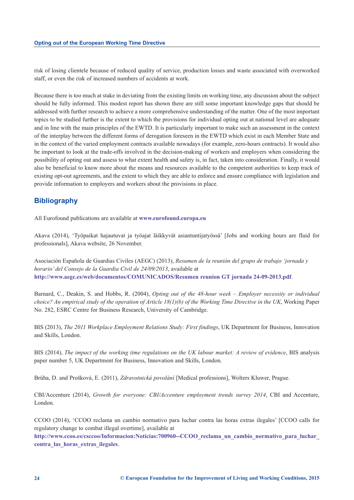<span id="page-29-0"></span>risk of losing clientele because of reduced quality of service, production losses and waste associated with overworked staff, or even the risk of increased numbers of accidents at work.

Because there is too much at stake in deviating from the existing limits on working time, any discussion about the subject should be fully informed. This modest report has shown there are still some important knowledge gaps that should be addressed with further research to achieve a more comprehensive understanding of the matter. One of the most important topics to be studied further is the extent to which the provisions for individual opting out at national level are adequate and in line with the main principles of the EWTD. It is particularly important to make such an assessment in the context of the interplay between the different forms of derogation foreseen in the EWTD which exist in each Member State and in the context of the varied employment contracts available nowadays (for example, zero-hours contracts). It would also be important to look at the trade-offs involved in the decision-making of workers and employers when considering the possibility of opting out and assess to what extent health and safety is, in fact, taken into consideration. Finally, it would also be beneficial to know more about the means and resources available to the competent authorities to keep track of existing opt-out agreements, and the extent to which they are able to enforce and ensure compliance with legislation and provide information to employers and workers about the provisions in place.

# **Bibliography**

All Eurofound publications are available at **[www.eurofound.europa.eu](http://www.eurofound.europa.eu)**

Akava (2014), 'Työpaikat hajautuvat ja työajat läikkyvät asiantuntijatyössä' [Jobs and working hours are fluid for professionals], Akava website, 26 November.

Asociación Española de Guardias Civiles (AEGC) (2013), *Resumen de la reunión del grupo de trabajo 'jornada y horario' del Consejo de la Guardia Civil de 24/09/2013*, available at **<http://www.aegc.es/web/documentos/COMUNICADOS/Resumen reunion GT jornada 24-09-2013.pdf>**.

Barnard, C., Deakin, S. and Hobbs, R. (2004), *Opting out of the 48-hour week – Employer necessity or individual choice? An empirical study of the operation of Article 18(1)(b) of the Working Time Directive in the UK*, Working Paper No. 282, ESRC Centre for Business Research, University of Cambridge.

BIS (2013), *The 2011 Workplace Employment Relations Study: First findings*, UK Department for Business, Innovation and Skills, London.

BIS (2014), *The impact of the working time regulations on the UK labour market: A review of evidence*, BIS analysis paper number 5, UK Department for Business, Innovation and Skills, London.

Brůha, D. and Prošková, E. (2011), *Zdravotnická povolání* [Medical professions], Wolters Kluwer, Prague.

CBI/Accenture (2014), *Growth for everyone: CBI/Accenture employment trends survey 2014*, CBI and Accenture, London.

CCOO (2014), 'CCOO reclama un cambio normativo para luchar contra las horas extras ilegales' [CCOO calls for regulatory change to combat illegal overtime], available at

**[http://www.ccoo.es/csccoo/Informacion:Noticias:700960--CCOO\\_reclama\\_un\\_cambio\\_normativo\\_para\\_luchar\\_](http://www.ccoo.es/csccoo/Informacion:Noticias:700960--CCOO_reclama_un_cambio_normativo_para_luchar_contra_las_horas_extras_ilegales) contra\_las\_horas\_extras\_ilegales**.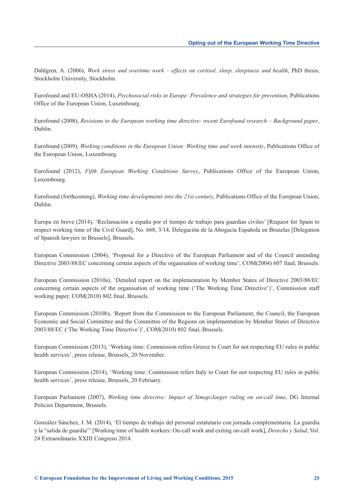Dahlgren, A. (2006), *Work stress and overtime work – effects on cortisol, sleep, sleepiness and health*, PhD thesis, Stockholm University, Stockholm.

Eurofound and EU-OSHA (2014), *Psychosocial risks in Europe: Prevalence and strategies for prevention*, Publications Office of the European Union, Luxembourg.

Eurofound (2008), *Revisions to the European working time directive: recent Eurofound research – Background paper*, Dublin.

Eurofound (2009), *Working conditions in the European Union: Working time and work intensity*, Publications Office of the European Union, Luxembourg.

Eurofound (2012), *Fifth European Working Conditions Survey*, Publications Office of the European Union, Luxembourg.

Eurofound (forthcoming), *Working time developments into the 21st century*, Publications Office of the European Union, Dublin.

Europa en breve (2014), 'Reclamación a españa por el tiempo de trabajo para guardias civiles' [Request for Spain to respect working time of the Civil Guard], No. 668, 3/14, Delegación de la Abogacía Española en Bruselas [Delegation of Spanish lawyers in Brussels], Brussels.

European Commission (2004), 'Proposal for a Directive of the European Parliament and of the Council amending Directive 2003/88/EC concerning certain aspects of the organisation of working time', COM(2004) 607 final, Brussels.

European Commission (2010a), 'Detailed report on the implementation by Member States of Directive 2003/88/EC concerning certain aspects of the organisation of working time ('The Working Time Directive')', Commission staff working paper, COM(2010) 802 final, Brussels.

European Commission (2010b), 'Report from the Commission to the European Parliament, the Council, the European Economic and Social Committee and the Committee of the Regions on implementation by Member States of Directive 2003/88/EC ('The Working Time Directive')', COM(2010) 802 final, Brussels.

European Commission (2013), 'Working time: Commission refers Greece to Court for not respecting EU rules in public health services', press release, Brussels, 20 November.

European Commission (2014), 'Working time: Commission refers Italy to Court for not respecting EU rules in public health services', press release, Brussels, 20 February.

European Parliament (2007), *Working time directive: Impact of Simap/Jaeger ruling on on-call time*, DG Internal Policies Department, Brussels.

González Sánchez, J. M. (2014), 'El tiempo de trabajo del personal estatutario con jornada complementaria. La guardia y la "salida de guardia"' [Working time of health workers: On-call work and exiting on-call work], *Derecho y Salud*, Vol. 24 Extraordinario XXIII Congreso 2014.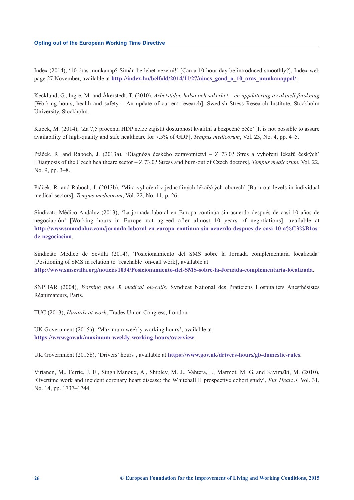Index (2014), '10 órás munkanap? Simán be lehet vezetni!' [Can a 10-hour day be introduced smoothly?], Index web page 27 November, available at **[http://index.hu/belfold/2014/11/27/nincs\\_gond\\_a\\_10\\_oras\\_munkanappal/](http://index.hu/belfold/2014/11/27/nincs_gond_a_10_oras_munkanappal/)**.

Kecklund, G., Ingre, M. and Åkerstedt, T. (2010), *Arbetstider, hälsa och säkerhet – en uppdatering av aktuell forskning* [Working hours, health and safety – An update of current research], Swedish Stress Research Institute, Stockholm University, Stockholm.

Kubek, M. (2014), 'Za 7,5 procenta HDP nelze zajistit dostupnost kvalitní a bezpečné péče' [It is not possible to assure availability of high-quality and safe healthcare for 7.5% of GDP], *Tempus medicorum*, Vol. 23, No. 4, pp. 4–5.

Ptáček, R. and Raboch, J. (2013a), 'Diagnóza českého zdravotnictví – Z 73.0? Stres a vyhoření lékařů českých' [Diagnosis of the Czech healthcare sector – Z 73.0? Stress and burn-out of Czech doctors], *Tempus medicorum*, Vol. 22, No. 9, pp. 3–8.

Ptáček, R. and Raboch, J. (2013b), 'Míra vyhoření v jednotlivých lékařských oborech' [Burn-out levels in individual medical sectors], *Tempus medicorum*, Vol. 22, No. 11, p. 26.

Sindicato Médico Andaluz (2013), 'La jornada laboral en Europa continúa sin acuerdo después de casi 10 años de negociación' [Working hours in Europe not agreed after almost 10 years of negotiations], available at **[http://www.smandaluz.com/jornada-laboral-en-europa-continua-sin-acuerdo-despues-de-casi-10-a%C3%B1os](http://www.smandaluz.com/jornada-laboral-en-europa-continua-sin-acuerdo-despues-de-casi-10-a%C3%B1os-de-negociacion.)de-negociacion**.

Sindicato Médico de Sevilla (2014), 'Posicionamiento del SMS sobre la Jornada complementaria localizada' [Positioning of SMS in relation to 'reachable' on-call work], available at **<http://www.smsevilla.org/noticia/1034/Posicionamiento-del-SMS-sobre-la-Jornada-complementaria-localizada>**.

SNPHAR (2004), *Working time & medical on-calls*, Syndicat National des Praticiens Hospitaliers Anesthésistes Réanimateurs, Paris.

TUC (2013), *Hazards at work*, Trades Union Congress, London.

UK Government (2015a), 'Maximum weekly working hours', available at **<https://www.gov.uk/maximum-weekly-working-hours/overview>**.

UK Government (2015b), 'Drivers' hours', available at **<https://www.gov.uk/drivers-hours/gb-domestic-rules>**.

Virtanen, M., Ferrie, J. E., Singh‐Manoux, A., Shipley, M. J., Vahtera, J., Marmot, M. G. and Kivimäki, M. (2010), 'Overtime work and incident coronary heart disease: the Whitehall II prospective cohort study', *Eur Heart J*, Vol. 31, No. 14, pp. 1737–1744.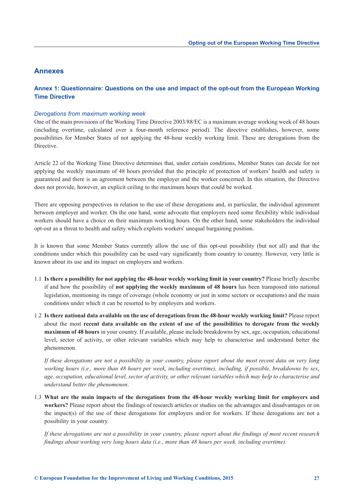# <span id="page-32-0"></span>**Annexes**

# **Annex 1: Questionnaire: Questions on the use and impact of the opt-out from the European Working Time Directive**

#### *Derogations from maximum working week*

One of the main provisions of the Working Time Directive 2003/88/EC is a maximum average working week of 48 hours (including overtime, calculated over a four-month reference period). The directive establishes, however, some possibilities for Member States of not applying the 48-hour weekly working limit. These are derogations from the Directive.

Article 22 of the Working Time Directive determines that, under certain conditions, Member States can decide for not applying the weekly maximum of 48 hours provided that the principle of protection of workers' health and safety is guaranteed and there is an agreement between the employer and the worker concerned. In this situation, the Directive does not provide, however, an explicit ceiling to the maximum hours that could be worked.

There are opposing perspectives in relation to the use of these derogations and, in particular, the individual agreement between employer and worker. On the one hand, some advocate that employers need some flexibility while individual workers should have a choice on their maximum working hours. On the other hand, some stakeholders the individual opt-out as a threat to health and safety which exploits workers' unequal bargaining position.

It is known that some Member States currently allow the use of this opt-out possibility (but not all) and that the conditions under which this possibility can be used vary significantly from country to country. However, very little is known about its use and its impact on employers and workers.

- 1.1 **Is there a possibility for not applying the 48-hour weekly working limit in your country?** Please briefly describe if and how the possibility of **not applying the weekly maximum of 48 hours** has been transposed into national legislation, mentioning its range of coverage (whole economy or just in some sectors or occupations) and the main conditions under which it can be resorted to by employers and workers.
- 1.2 **Is there national data available on the use of derogations from the 48-hour weekly working limit?** Please report about the most **recent data available on the extent of use of the possibilities to derogate from the weekly maximum of 48 hours** in your country. If available, please include breakdowns by sex, age, occupation, educational level, sector of activity, or other relevant variables which may help to characterise and understand better the phenomenon.

*If these derogations are not a possibility in your country, please report about the most recent data on very long working hours (i.e., more than 48 hours per week, including overtime), including, if possible, breakdowns by sex, age, occupation, educational level, sector of activity, or other relevant variables which may help to characterise and understand better the phenomenon*.

1.3 **What are the main impacts of the derogations from the 48-hour weekly working limit for employers and workers?** Please report about the findings of research articles or studies on the advantages and disadvantages or on the impact(s) of the use of these derogations for employers and/or for workers. If these derogations are not a possibility in your country.

*If these derogations are not a possibility in your country, please report about the findings of most recent research findings about working very long hours data (i.e., more than 48 hours per week, including overtime).*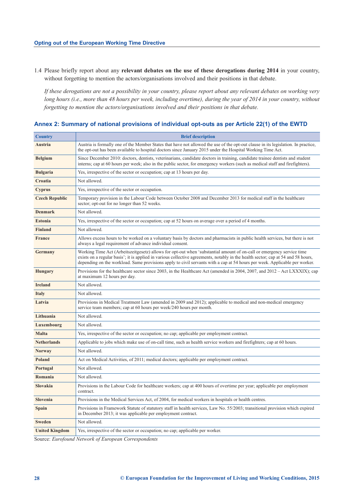1.4 Please briefly report about any **relevant debates on the use of these derogations during 2014** in your country, without forgetting to mention the actors/organisations involved and their positions in that debate.

*If these derogations are not a possibility in your country, please report about any relevant debates on working very long hours (i.e., more than 48 hours per week, including overtime), during the year of 2014 in your country, without forgetting to mention the actors/organisations involved and their positions in that debate.* 

| <b>Country</b>        | <b>Brief description</b>                                                                                                                                                                                                                                                                                                                                                                 |
|-----------------------|------------------------------------------------------------------------------------------------------------------------------------------------------------------------------------------------------------------------------------------------------------------------------------------------------------------------------------------------------------------------------------------|
| Austria               | Austria is formally one of the Member States that have not allowed the use of the opt-out clause in its legislation. In practice,<br>the opt-out has been available to hospital doctors since January 2015 under the Hospital Working Time Act.                                                                                                                                          |
| <b>Belgium</b>        | Since December 2010: doctors, dentists, veterinarians, candidate doctors in training, candidate trainee dentists and student<br>interns; cap at 60 hours per week; also in the public sector, for emergency workers (such as medical staff and firefighters).                                                                                                                            |
| <b>Bulgaria</b>       | Yes, irrespective of the sector or occupation; cap at 13 hours per day.                                                                                                                                                                                                                                                                                                                  |
| <b>Croatia</b>        | Not allowed.                                                                                                                                                                                                                                                                                                                                                                             |
| <b>Cyprus</b>         | Yes, irrespective of the sector or occupation.                                                                                                                                                                                                                                                                                                                                           |
| <b>Czech Republic</b> | Temporary provision in the Labour Code between October 2008 and December 2013 for medical staff in the healthcare<br>sector; opt-out for no longer than 52 weeks.                                                                                                                                                                                                                        |
| <b>Denmark</b>        | Not allowed.                                                                                                                                                                                                                                                                                                                                                                             |
| <b>Estonia</b>        | Yes, irrespective of the sector or occupation; cap at 52 hours on average over a period of 4 months.                                                                                                                                                                                                                                                                                     |
| <b>Finland</b>        | Not allowed.                                                                                                                                                                                                                                                                                                                                                                             |
| <b>France</b>         | Allows excess hours to be worked on a voluntary basis by doctors and pharmacists in public health services, but there is not<br>always a legal requirement of advance individual consent.                                                                                                                                                                                                |
| Germany               | Working Time Act (Arbeitszeitgesetz) allows for opt-out when 'substantial amount of on-call or emergency service time<br>exists on a regular basis'; it is applied in various collective agreements, notably in the health sector; cap at 54 and 58 hours,<br>depending on the workload. Same provisions apply to civil servants with a cap at 54 hours per week. Applicable per worker. |
| <b>Hungary</b>        | Provisions for the healthcare sector since 2003, in the Healthcare Act (amended in 2004, 2007, and $2012 - Act LXXXIX$ ); cap<br>at maximum 12 hours per day.                                                                                                                                                                                                                            |
| <b>Ireland</b>        | Not allowed.                                                                                                                                                                                                                                                                                                                                                                             |
| <b>Italy</b>          | Not allowed.                                                                                                                                                                                                                                                                                                                                                                             |
| Latvia                | Provisions in Medical Treatment Law (amended in 2009 and 2012); applicable to medical and non-medical emergency<br>service team members; cap at 60 hours per week/240 hours per month.                                                                                                                                                                                                   |
| Lithuania             | Not allowed.                                                                                                                                                                                                                                                                                                                                                                             |
| Luxembourg            | Not allowed.                                                                                                                                                                                                                                                                                                                                                                             |
| <b>Malta</b>          | Yes, irrespective of the sector or occupation; no cap; applicable per employment contract.                                                                                                                                                                                                                                                                                               |
| <b>Netherlands</b>    | Applicable to jobs which make use of on-call time, such as health service workers and firefighters; cap at 60 hours.                                                                                                                                                                                                                                                                     |
| <b>Norway</b>         | Not allowed.                                                                                                                                                                                                                                                                                                                                                                             |
| <b>Poland</b>         | Act on Medical Activities, of 2011; medical doctors; applicable per employment contract.                                                                                                                                                                                                                                                                                                 |
| Portugal              | Not allowed.                                                                                                                                                                                                                                                                                                                                                                             |
| Romania               | Not allowed.                                                                                                                                                                                                                                                                                                                                                                             |
| <b>Slovakia</b>       | Provisions in the Labour Code for healthcare workers; cap at 400 hours of overtime per year; applicable per employment<br>contract.                                                                                                                                                                                                                                                      |
| <b>Slovenia</b>       | Provisions in the Medical Services Act, of 2004, for medical workers in hospitals or health centres.                                                                                                                                                                                                                                                                                     |
| <b>Spain</b>          | Provisions in Framework Statute of statutory staff in health services, Law No. 55/2003; transitional provision which expired<br>in December 2013; it was applicable per employment contract.                                                                                                                                                                                             |
| <b>Sweden</b>         | Not allowed.                                                                                                                                                                                                                                                                                                                                                                             |
| <b>United Kingdom</b> | Yes, irrespective of the sector or occupation; no cap; applicable per worker.                                                                                                                                                                                                                                                                                                            |

**Annex 2: Summary of national provisions of individual opt-outs as per Article 22(1) of the EWTD** 

Source: *Eurofound Network of European Correspondents*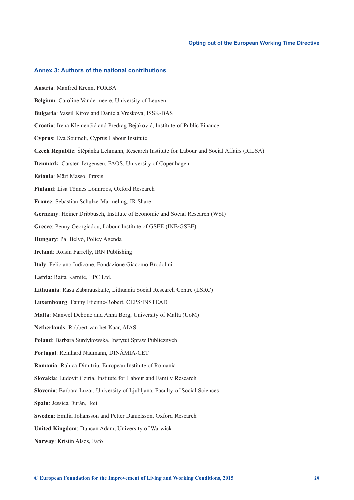#### **Annex 3: Authors of the national contributions**

**Austria**: Manfred Krenn, FORBA **Belgium**: Caroline Vandermeere, University of Leuven **Bulgaria**: Vassil Kirov and Daniela Vreskova, ISSK-BAS **Croatia**: Irena Klemenčić and Predrag Bejaković, Institute of Public Finance **Cyprus**: Eva Soumeli, Cyprus Labour Institute **Czech Republic**: Štěpánka Lehmann, Research Institute for Labour and Social Affairs (RILSA) **Denmark**: Carsten Jørgensen, FAOS, University of Copenhagen **Estonia**: Märt Masso, Praxis **Finland**: Lisa Tönnes Lönnroos, Oxford Research **France**: Sebastian Schulze-Marmeling, IR Share **Germany**: Heiner Dribbusch, Institute of Economic and Social Research (WSI) **Greece**: Penny Georgiadou, Labour Institute of GSEE (INE/GSEE) **Hungary**: Pál Belyó, Policy Agenda **Ireland**: Roisin Farrelly, IRN Publishing **Italy**: Feliciano Iudicone, Fondazione Giacomo Brodolini **Latvia**: Raita Karnite, EPC Ltd. **Lithuania**: Rasa Zabarauskaite, Lithuania Social Research Centre (LSRC) **Luxembourg**: Fanny Etienne-Robert, CEPS/INSTEAD **Malta**: Manwel Debono and Anna Borg, University of Malta (UoM) **Netherlands**: Robbert van het Kaar, AIAS **Poland**: Barbara Surdykowska, Instytut Spraw Publicznych **Portugal**: Reinhard Naumann, DINÂMIA-CET **Romania**: Raluca Dimitriu, European Institute of Romania **Slovakia**: Ludovit Cziria, Institute for Labour and Family Research **Slovenia**: Barbara Luzar, University of Ljubljana, Faculty of Social Sciences **Spain**: Jessica Durán, Ikei **Sweden**: Emilia Johansson and Petter Danielsson, Oxford Research **United Kingdom**: Duncan Adam, University of Warwick **Norway**: Kristin Alsos, Fafo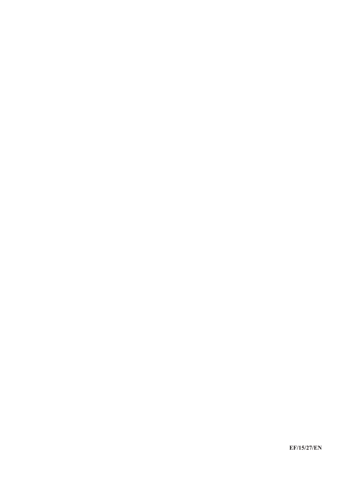**EF/15/27/EN**